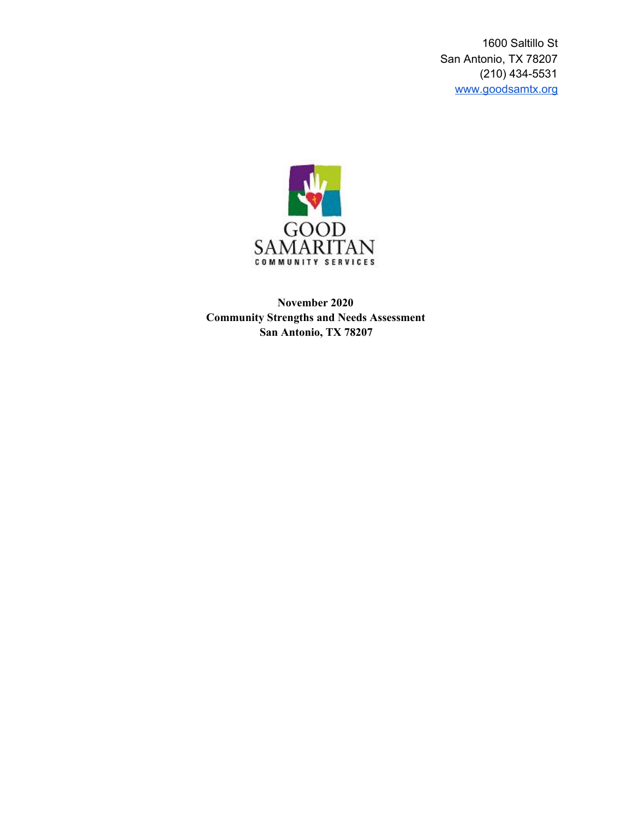1600 Saltillo St San Antonio, TX 78207 (210) 434-5531 [www.goodsamtx.org](http://www.goodsamtx.org/)



**November 2020 Community Strengths and Needs Assessment San Antonio, TX 78207**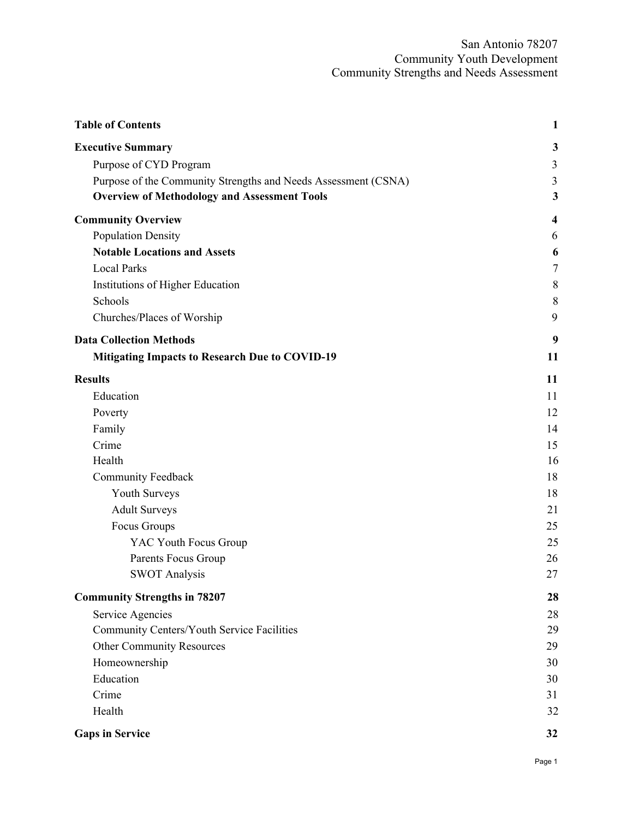<span id="page-1-0"></span>

| <b>Table of Contents</b>                                       | $\mathbf{1}$ |
|----------------------------------------------------------------|--------------|
| <b>Executive Summary</b>                                       | 3            |
| Purpose of CYD Program                                         | 3            |
| Purpose of the Community Strengths and Needs Assessment (CSNA) | 3            |
| <b>Overview of Methodology and Assessment Tools</b>            | 3            |
| <b>Community Overview</b>                                      | 4            |
| <b>Population Density</b>                                      | 6            |
| <b>Notable Locations and Assets</b>                            | 6            |
| <b>Local Parks</b>                                             | $\tau$       |
| Institutions of Higher Education                               | 8            |
| Schools                                                        | 8            |
| Churches/Places of Worship                                     | 9            |
| <b>Data Collection Methods</b>                                 | 9            |
| <b>Mitigating Impacts to Research Due to COVID-19</b>          | 11           |
| <b>Results</b>                                                 | 11           |
| Education                                                      | 11           |
| Poverty                                                        | 12           |
| Family                                                         | 14           |
| Crime                                                          | 15           |
| Health                                                         | 16           |
| <b>Community Feedback</b>                                      | 18           |
| Youth Surveys                                                  | 18           |
| <b>Adult Surveys</b>                                           | 21           |
| Focus Groups                                                   | 25           |
| YAC Youth Focus Group                                          | 25           |
| Parents Focus Group                                            | 26           |
| <b>SWOT Analysis</b>                                           | 27           |
| <b>Community Strengths in 78207</b>                            | 28           |
| Service Agencies                                               | 28           |
| Community Centers/Youth Service Facilities                     | 29           |
| <b>Other Community Resources</b>                               | 29           |
| Homeownership                                                  | 30           |
| Education                                                      | 30           |
| Crime                                                          | 31           |
| Health                                                         | 32           |
| <b>Gaps in Service</b>                                         | 32           |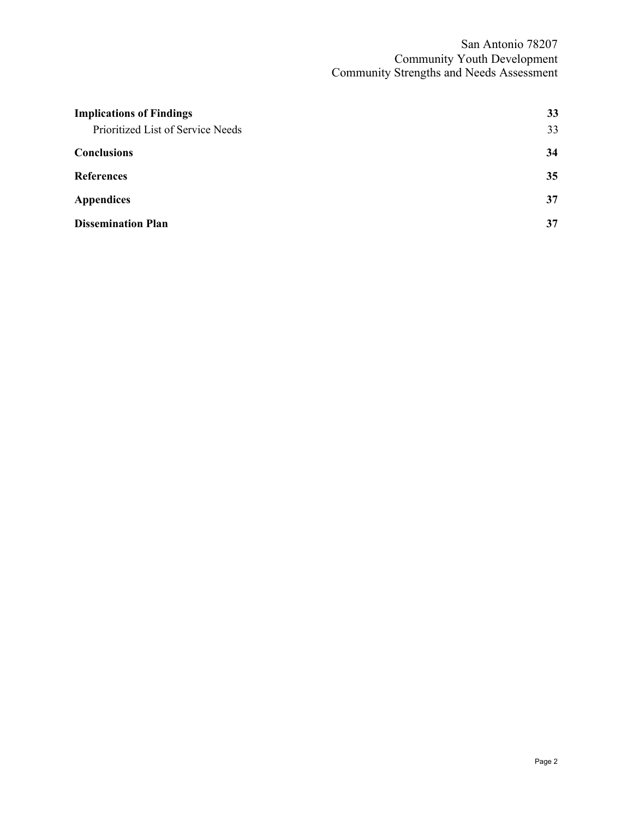| <b>Implications of Findings</b>   | 33 |
|-----------------------------------|----|
| Prioritized List of Service Needs | 33 |
| <b>Conclusions</b>                | 34 |
| <b>References</b>                 | 35 |
| <b>Appendices</b>                 | 37 |
| <b>Dissemination Plan</b>         | 37 |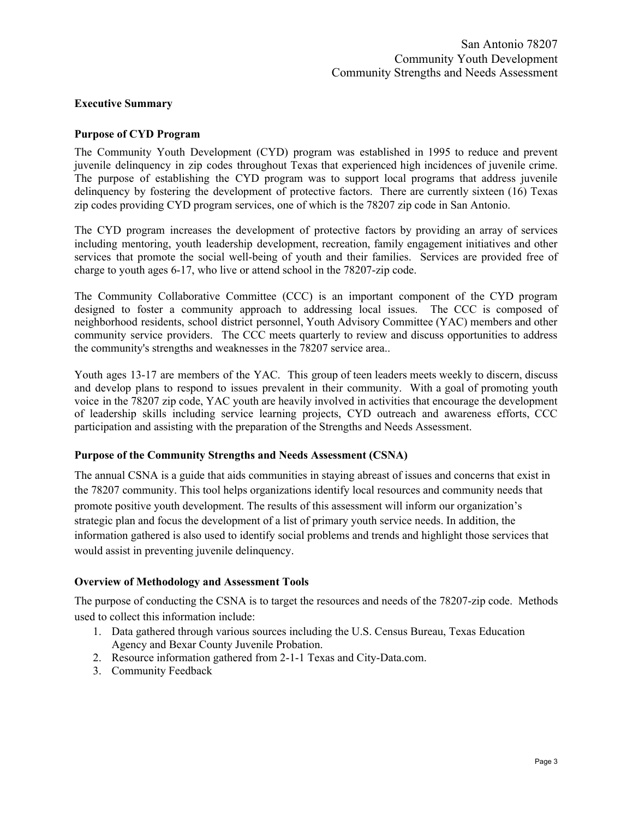#### <span id="page-3-0"></span>**Executive Summary**

#### <span id="page-3-1"></span>**Purpose of CYD Program**

The Community Youth Development (CYD) program was established in 1995 to reduce and prevent juvenile delinquency in zip codes throughout Texas that experienced high incidences of juvenile crime. The purpose of establishing the CYD program was to support local programs that address juvenile delinquency by fostering the development of protective factors. There are currently sixteen (16) Texas zip codes providing CYD program services, one of which is the 78207 zip code in San Antonio.

The CYD program increases the development of protective factors by providing an array of services including mentoring, youth leadership development, recreation, family engagement initiatives and other services that promote the social well-being of youth and their families. Services are provided free of charge to youth ages 6-17, who live or attend school in the 78207-zip code.

The Community Collaborative Committee (CCC) is an important component of the CYD program designed to foster a community approach to addressing local issues. The CCC is composed of neighborhood residents, school district personnel, Youth Advisory Committee (YAC) members and other community service providers. The CCC meets quarterly to review and discuss opportunities to address the community's strengths and weaknesses in the 78207 service area..

Youth ages 13-17 are members of the YAC. This group of teen leaders meets weekly to discern, discuss and develop plans to respond to issues prevalent in their community. With a goal of promoting youth voice in the 78207 zip code, YAC youth are heavily involved in activities that encourage the development of leadership skills including service learning projects, CYD outreach and awareness efforts, CCC participation and assisting with the preparation of the Strengths and Needs Assessment.

#### <span id="page-3-2"></span>**Purpose of the Community Strengths and Needs Assessment (CSNA)**

The annual CSNA is a guide that aids communities in staying abreast of issues and concerns that exist in the 78207 community. This tool helps organizations identify local resources and community needs that promote positive youth development. The results of this assessment will inform our organization's strategic plan and focus the development of a list of primary youth service needs. In addition, the information gathered is also used to identify social problems and trends and highlight those services that would assist in preventing juvenile delinquency.

#### <span id="page-3-3"></span>**Overview of Methodology and Assessment Tools**

The purpose of conducting the CSNA is to target the resources and needs of the 78207-zip code. Methods used to collect this information include:

- 1. Data gathered through various sources including the U.S. Census Bureau, Texas Education Agency and Bexar County Juvenile Probation.
- 2. Resource information gathered from 2-1-1 Texas and City-Data.com.
- 3. Community Feedback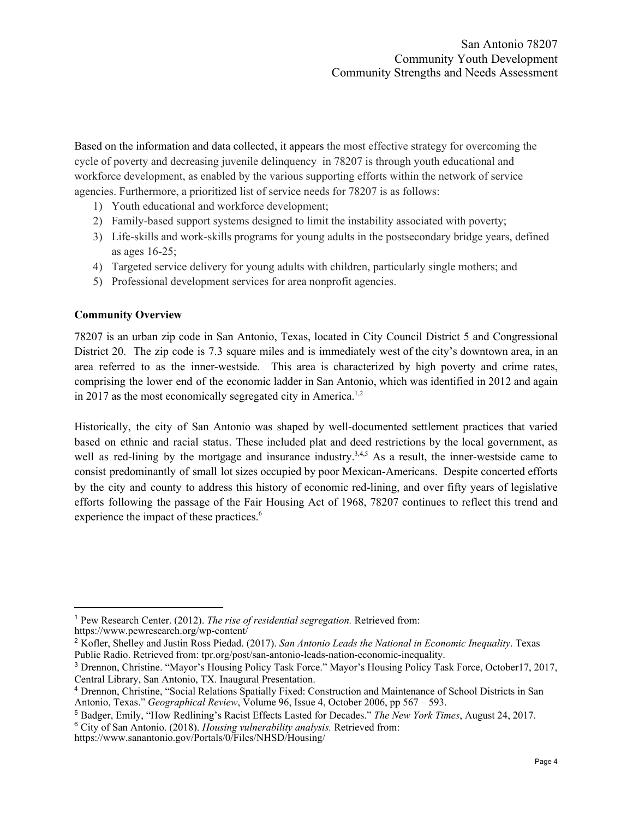Based on the information and data collected, it appears the most effective strategy for overcoming the cycle of poverty and decreasing juvenile delinquency in 78207 is through youth educational and workforce development, as enabled by the various supporting efforts within the network of service agencies. Furthermore, a prioritized list of service needs for 78207 is as follows:

- 1) Youth educational and workforce development;
- 2) Family-based support systems designed to limit the instability associated with poverty;
- 3) Life-skills and work-skills programs for young adults in the postsecondary bridge years, defined as ages 16-25;
- 4) Targeted service delivery for young adults with children, particularly single mothers; and
- 5) Professional development services for area nonprofit agencies.

## <span id="page-4-0"></span>**Community Overview**

78207 is an urban zip code in San Antonio, Texas, located in City Council District 5 and Congressional District 20. The zip code is 7.3 square miles and is immediately west of the city's downtown area, in an area referred to as the inner-westside. This area is characterized by high poverty and crime rates, comprising the lower end of the economic ladder in San Antonio, which was identified in 2012 and again in 2017 as the most economically segregated city in America.<sup>1,2</sup>

Historically, the city of San Antonio was shaped by well-documented settlement practices that varied based on ethnic and racial status. These included plat and deed restrictions by the local government, as well as red-lining by the mortgage and insurance industry.<sup>3,4,5</sup> As a result, the inner-westside came to consist predominantly of small lot sizes occupied by poor Mexican-Americans. Despite concerted efforts by the city and county to address this history of economic red-lining, and over fifty years of legislative efforts following the passage of the Fair Housing Act of 1968, 78207 continues to reflect this trend and experience the impact of these practices. 6

<sup>1</sup> Pew Research Center. (2012). *The rise of residential segregation.* Retrieved from: https://www.pewresearch.org/wp-content/

<sup>2</sup> Kofler, Shelley and Justin Ross Piedad. (2017). *San Antonio Leads the National in Economic Inequality*. Texas Public Radio. Retrieved from: tpr.org/post/san-antonio-leads-nation-economic-inequality.

<sup>3</sup> Drennon, Christine. "Mayor's Housing Policy Task Force." Mayor's Housing Policy Task Force, October17, 2017, Central Library, San Antonio, TX. Inaugural Presentation.

<sup>4</sup> Drennon, Christine, "Social Relations Spatially Fixed: Construction and Maintenance of School Districts in San Antonio, Texas." *Geographical Review*, Volume 96, Issue 4, October 2006, pp 567 – 593.

<sup>5</sup> Badger, Emily, "How Redlining's Racist Effects Lasted for Decades." *The New York Times*, August 24, 2017. <sup>6</sup> City of San Antonio. (2018). *Housing vulnerability analysis.* Retrieved from:

https://www.sanantonio.gov/Portals/0/Files/NHSD/Housing/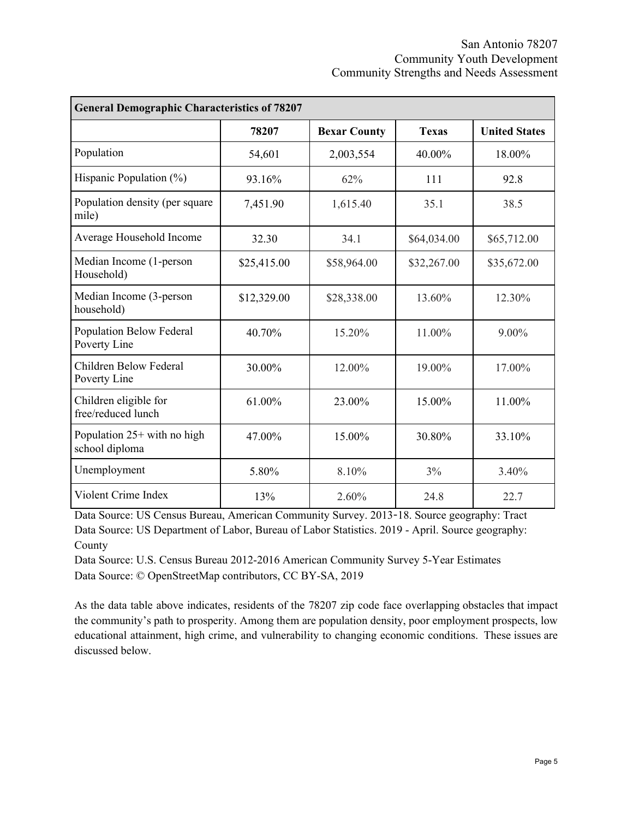| <b>General Demographic Characteristics of 78207</b> |             |                     |              |                      |
|-----------------------------------------------------|-------------|---------------------|--------------|----------------------|
|                                                     | 78207       | <b>Bexar County</b> | <b>Texas</b> | <b>United States</b> |
| Population                                          | 54,601      | 2,003,554           | 40.00%       | 18.00%               |
| Hispanic Population $(\% )$                         | 93.16%      | 62%                 | 111          | 92.8                 |
| Population density (per square<br>mile)             | 7,451.90    | 1,615.40            | 35.1         | 38.5                 |
| Average Household Income                            | 32.30       | 34.1                | \$64,034.00  | \$65,712.00          |
| Median Income (1-person<br>Household)               | \$25,415.00 | \$58,964.00         | \$32,267.00  | \$35,672.00          |
| Median Income (3-person<br>household)               | \$12,329.00 | \$28,338.00         | 13.60%       | 12.30%               |
| Population Below Federal<br>Poverty Line            | 40.70%      | 15.20%              | 11.00%       | 9.00%                |
| Children Below Federal<br>Poverty Line              | 30.00%      | 12.00%              | 19.00%       | 17.00%               |
| Children eligible for<br>free/reduced lunch         | 61.00%      | 23.00%              | 15.00%       | 11.00%               |
| Population $25+$ with no high<br>school diploma     | 47.00%      | 15.00%              | 30.80%       | 33.10%               |
| Unemployment                                        | 5.80%       | 8.10%               | 3%           | 3.40%                |
| Violent Crime Index                                 | 13%         | 2.60%               | 24.8         | 22.7                 |

Data Source: US Census Bureau, American Community Survey. 2013-18. Source geography: Tract Data Source: US Department of Labor, Bureau of Labor [Statistics.](http://www.bls.gov/) 2019 - April. Source geography: County

Data Source: U.S. Census Bureau 2012-2016 American Community Survey 5-Year Estimates Data Source: © OpenStreetMap contributors, CC BY-SA, 2019

As the data table above indicates, residents of the 78207 zip code face overlapping obstacles that impact the community's path to prosperity. Among them are population density, poor employment prospects, low educational attainment, high crime, and vulnerability to changing economic conditions. These issues are discussed below.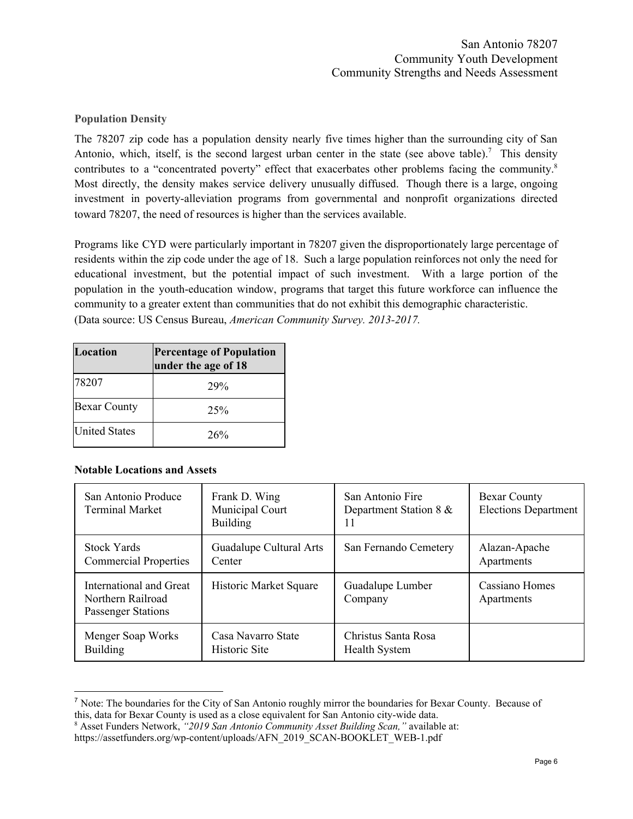## <span id="page-6-0"></span>**Population Density**

The 78207 zip code has a population density nearly five times higher than the surrounding city of San Antonio, which, itself, is the second largest urban center in the state (see above table).<sup>7</sup> This density contributes to a "concentrated poverty" effect that exacerbates other problems facing the community.<sup>8</sup> Most directly, the density makes service delivery unusually diffused. Though there is a large, ongoing investment in poverty-alleviation programs from governmental and nonprofit organizations directed toward 78207, the need of resources is higher than the services available.

Programs like CYD were particularly important in 78207 given the disproportionately large percentage of residents within the zip code under the age of 18. Such a large population reinforces not only the need for educational investment, but the potential impact of such investment. With a large portion of the population in the youth-education window, programs that target this future workforce can influence the community to a greater extent than communities that do not exhibit this demographic characteristic. (Data source: US Census Bureau, *American Community Survey. 2013-2017.*

| Location             | <b>Percentage of Population</b><br>under the age of 18 |
|----------------------|--------------------------------------------------------|
| 78207                | 29%                                                    |
| <b>Bexar County</b>  | 25%                                                    |
| <b>United States</b> | 26%                                                    |

## <span id="page-6-1"></span>**Notable Locations and Assets**

| San Antonio Produce<br><b>Terminal Market</b>                             | Frank D. Wing<br>Municipal Court<br><b>Building</b> | San Antonio Fire<br>Department Station 8 &<br>11 | <b>Bexar County</b><br><b>Elections Department</b> |
|---------------------------------------------------------------------------|-----------------------------------------------------|--------------------------------------------------|----------------------------------------------------|
| <b>Stock Yards</b>                                                        | Guadalupe Cultural Arts                             | San Fernando Cemetery                            | Alazan-Apache                                      |
| <b>Commercial Properties</b>                                              | Center                                              |                                                  | Apartments                                         |
| International and Great<br>Northern Railroad<br><b>Passenger Stations</b> | Historic Market Square                              | Guadalupe Lumber<br>Company                      | Cassiano Homes<br>Apartments                       |
| Menger Soap Works                                                         | Casa Navarro State                                  | Christus Santa Rosa                              |                                                    |
| <b>Building</b>                                                           | Historic Site                                       | <b>Health System</b>                             |                                                    |

<sup>7</sup> Note: The boundaries for the City of San Antonio roughly mirror the boundaries for Bexar County. Because of this, data for Bexar County is used as a close equivalent for San Antonio city-wide data.

<sup>8</sup> Asset Funders Network, *"2019 San Antonio Community Asset Building Scan,"* available at:

https://assetfunders.org/wp-content/uploads/AFN\_2019\_SCAN-BOOKLET\_WEB-1.pdf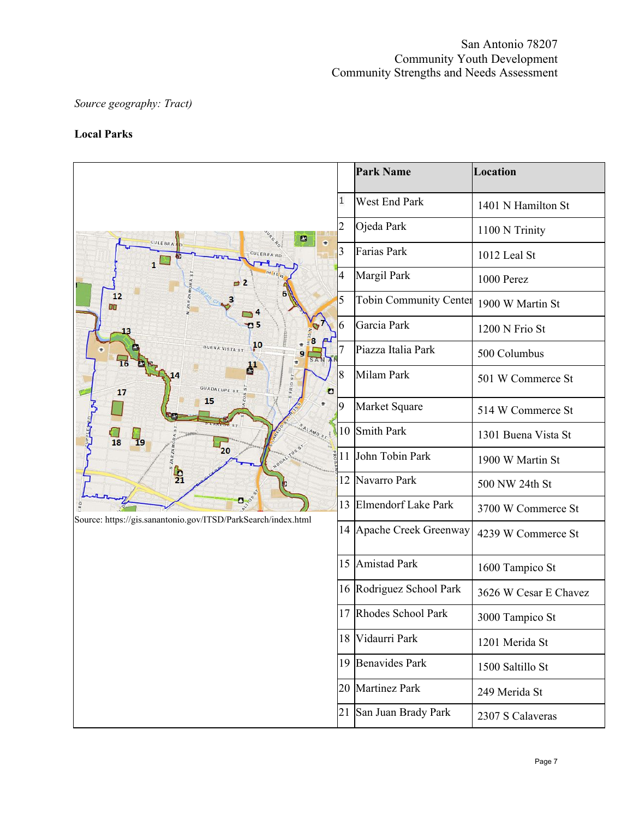# *Source geography: Tract)*

# <span id="page-7-0"></span>**Local Parks**

|                                                                            |                | <b>Park Name</b>              | Location              |
|----------------------------------------------------------------------------|----------------|-------------------------------|-----------------------|
|                                                                            | 1              | West End Park                 | 1401 N Hamilton St    |
| ▣<br>٠                                                                     | $\overline{2}$ | Ojeda Park                    | 1100 N Trinity        |
| CULEBRA<br>$1^{\square}$                                                   | 3              | Farias Park                   | 1012 Leal St          |
|                                                                            | 4              | Margil Park                   | 1000 Perez            |
| 12<br><b>DN</b>                                                            | 5              | <b>Tobin Community Center</b> | 1900 W Martin St      |
| <b>O</b> 5                                                                 | 6              | Garcia Park                   | 1200 N Frio St        |
| $^{10}$<br><b>BUENA VISTA ST</b><br>16                                     |                | Piazza Italia Park            | 500 Columbus          |
| <b>GUADALUPE ST</b><br>17<br>O                                             | 8              | Milam Park                    | 501 W Commerce St     |
| 15                                                                         | 9              | Market Square                 | 514 W Commerce St     |
| $\frac{1}{18}$<br>AMO <sub>ST</sub><br>$\frac{1}{19}$<br>$\sqrt{20}$       |                | 10 Smith Park                 | 1301 Buena Vista St   |
|                                                                            |                | 11 John Tobin Park            | 1900 W Martin St      |
| $\frac{1}{21}$                                                             | 12             | Navarro Park                  | 500 NW 24th St        |
| $\bullet$<br>Source: https://gis.sanantonio.gov/ITSD/ParkSearch/index.html | 13             | Elmendorf Lake Park           | 3700 W Commerce St    |
|                                                                            |                | 14 Apache Creek Greenway      | 4239 W Commerce St    |
|                                                                            | 15             | Amistad Park                  | 1600 Tampico St       |
|                                                                            |                | 16 Rodriguez School Park      | 3626 W Cesar E Chavez |
|                                                                            |                | 17 Rhodes School Park         | 3000 Tampico St       |
|                                                                            |                | 18 Vidaurri Park              | 1201 Merida St        |
|                                                                            |                | 19 Benavides Park             | 1500 Saltillo St      |
|                                                                            |                | 20 Martinez Park              | 249 Merida St         |
|                                                                            | 21             | San Juan Brady Park           | 2307 S Calaveras      |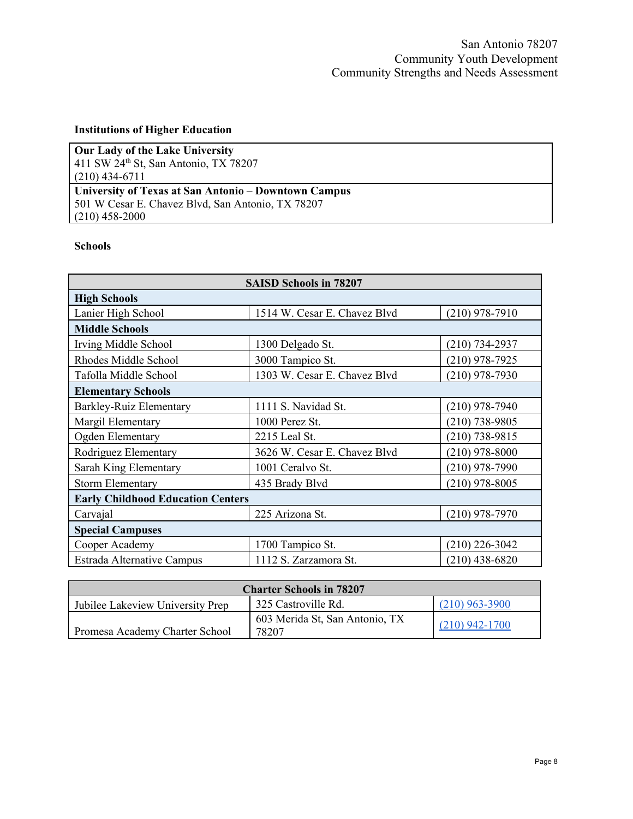# <span id="page-8-0"></span>**Institutions of Higher Education**

| <b>Our Lady of the Lake University</b>               |
|------------------------------------------------------|
| 411 SW $24^{\text{th}}$ St, San Antonio, TX 78207    |
| $(210)$ 434-6711                                     |
| University of Texas at San Antonio – Downtown Campus |
| 501 W Cesar E. Chavez Blvd, San Antonio, TX 78207    |
| $(210)$ 458-2000                                     |

## <span id="page-8-1"></span>**Schools**

| <b>SAISD Schools in 78207</b>            |                              |                  |  |
|------------------------------------------|------------------------------|------------------|--|
| <b>High Schools</b>                      |                              |                  |  |
| Lanier High School                       | 1514 W. Cesar E. Chavez Blvd | $(210)$ 978-7910 |  |
| <b>Middle Schools</b>                    |                              |                  |  |
| Irving Middle School                     | 1300 Delgado St.             | $(210)$ 734-2937 |  |
| Rhodes Middle School                     | 3000 Tampico St.             | $(210)$ 978-7925 |  |
| Tafolla Middle School                    | 1303 W. Cesar E. Chavez Blvd | $(210)$ 978-7930 |  |
| <b>Elementary Schools</b>                |                              |                  |  |
| Barkley-Ruiz Elementary                  | 1111 S. Navidad St.          | $(210)$ 978-7940 |  |
| Margil Elementary                        | 1000 Perez St.               | $(210)$ 738-9805 |  |
| Ogden Elementary                         | 2215 Leal St.                | $(210)$ 738-9815 |  |
| Rodriguez Elementary                     | 3626 W. Cesar E. Chavez Blvd | $(210)$ 978-8000 |  |
| Sarah King Elementary                    | 1001 Ceralvo St.             | $(210)$ 978-7990 |  |
| <b>Storm Elementary</b>                  | 435 Brady Blvd               | $(210)$ 978-8005 |  |
| <b>Early Childhood Education Centers</b> |                              |                  |  |
| Carvajal                                 | 225 Arizona St.              | $(210)$ 978-7970 |  |
| <b>Special Campuses</b>                  |                              |                  |  |
| Cooper Academy                           | 1700 Tampico St.             | $(210)$ 226-3042 |  |
| Estrada Alternative Campus               | 1112 S. Zarzamora St.        | $(210)$ 438-6820 |  |

| <b>Charter Schools in 78207</b>  |                                         |                  |
|----------------------------------|-----------------------------------------|------------------|
| Jubilee Lakeview University Prep | 325 Castroville Rd.                     | $(210)$ 963-3900 |
| Promesa Academy Charter School   | 603 Merida St, San Antonio, TX<br>78207 | $(210)$ 942-1700 |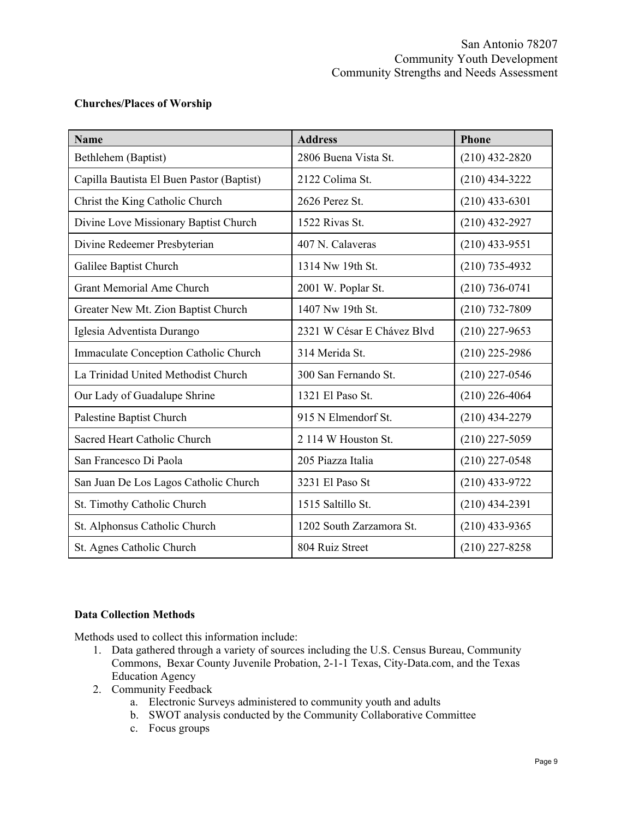## <span id="page-9-0"></span>**Churches/Places of Worship**

| <b>Name</b>                                  | <b>Address</b>             | <b>Phone</b>     |
|----------------------------------------------|----------------------------|------------------|
| Bethlehem (Baptist)                          | 2806 Buena Vista St.       | $(210)$ 432-2820 |
| Capilla Bautista El Buen Pastor (Baptist)    | 2122 Colima St.            | $(210)$ 434-3222 |
| Christ the King Catholic Church              | 2626 Perez St.             | $(210)$ 433-6301 |
| Divine Love Missionary Baptist Church        | 1522 Rivas St.             | $(210)$ 432-2927 |
| Divine Redeemer Presbyterian                 | 407 N. Calaveras           | $(210)$ 433-9551 |
| Galilee Baptist Church                       | 1314 Nw 19th St.           | $(210)$ 735-4932 |
| <b>Grant Memorial Ame Church</b>             | 2001 W. Poplar St.         | $(210)$ 736-0741 |
| Greater New Mt. Zion Baptist Church          | 1407 Nw 19th St.           | $(210)$ 732-7809 |
| Iglesia Adventista Durango                   | 2321 W César E Chávez Blvd | $(210)$ 227-9653 |
| <b>Immaculate Conception Catholic Church</b> | 314 Merida St.             | $(210)$ 225-2986 |
| La Trinidad United Methodist Church          | 300 San Fernando St.       | $(210)$ 227-0546 |
| Our Lady of Guadalupe Shrine                 | 1321 El Paso St.           | $(210)$ 226-4064 |
| Palestine Baptist Church                     | 915 N Elmendorf St.        | $(210)$ 434-2279 |
| Sacred Heart Catholic Church                 | 2 114 W Houston St.        | $(210)$ 227-5059 |
| San Francesco Di Paola                       | 205 Piazza Italia          | $(210)$ 227-0548 |
| San Juan De Los Lagos Catholic Church        | 3231 El Paso St            | $(210)$ 433-9722 |
| St. Timothy Catholic Church                  | 1515 Saltillo St.          | $(210)$ 434-2391 |
| St. Alphonsus Catholic Church                | 1202 South Zarzamora St.   | $(210)$ 433-9365 |
| St. Agnes Catholic Church                    | 804 Ruiz Street            | $(210)$ 227-8258 |

## <span id="page-9-1"></span>**Data Collection Methods**

Methods used to collect this information include:

- 1. Data gathered through a variety of sources including the U.S. Census Bureau, Community Commons, Bexar County Juvenile Probation, 2-1-1 Texas, City-Data.com, and the Texas Education Agency
- 2. Community Feedback
	- a. Electronic Surveys administered to community youth and adults
	- b. SWOT analysis conducted by the Community Collaborative Committee
	- c. Focus groups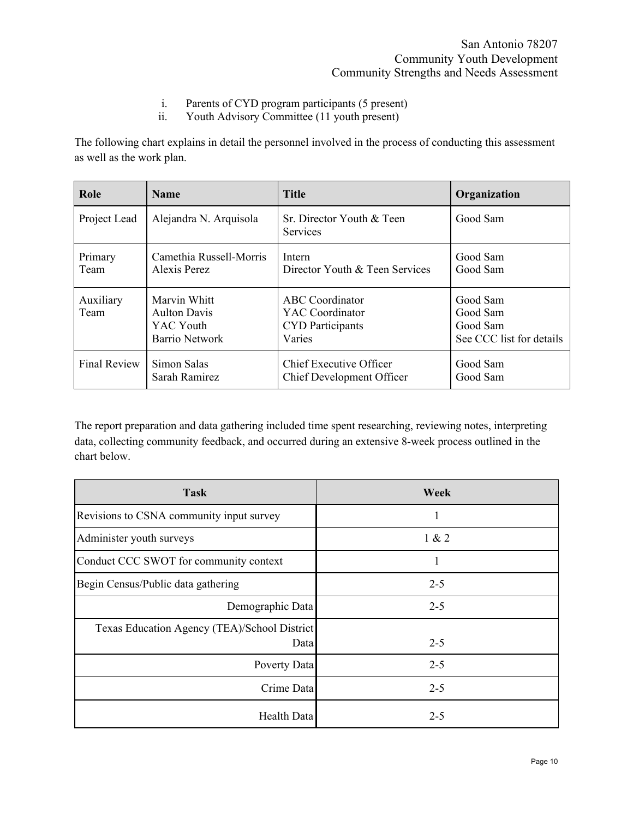- i. Parents of CYD program participants (5 present)
- ii. Youth Advisory Committee (11 youth present)

The following chart explains in detail the personnel involved in the process of conducting this assessment as well as the work plan.

| Role                | <b>Name</b>                                                        | <b>Title</b>                                                                   | Organization                                                 |
|---------------------|--------------------------------------------------------------------|--------------------------------------------------------------------------------|--------------------------------------------------------------|
| Project Lead        | Alejandra N. Arquisola                                             | Sr. Director Youth & Teen<br><b>Services</b>                                   | Good Sam                                                     |
| Primary<br>Team     | Camethia Russell-Morris<br>Alexis Perez                            | Intern<br>Director Youth & Teen Services                                       | Good Sam<br>Good Sam                                         |
| Auxiliary<br>Team   | Marvin Whitt<br><b>Aulton Davis</b><br>YAC Youth<br>Barrio Network | <b>ABC</b> Coordinator<br>YAC Coordinator<br><b>CYD</b> Participants<br>Varies | Good Sam<br>Good Sam<br>Good Sam<br>See CCC list for details |
| <b>Final Review</b> | Simon Salas<br>Sarah Ramirez                                       | <b>Chief Executive Officer</b><br>Chief Development Officer                    | Good Sam<br>Good Sam                                         |

The report preparation and data gathering included time spent researching, reviewing notes, interpreting data, collecting community feedback, and occurred during an extensive 8-week process outlined in the chart below.

| <b>Task</b>                                          | Week    |
|------------------------------------------------------|---------|
| Revisions to CSNA community input survey             |         |
| Administer youth surveys                             | 1 & 2   |
| Conduct CCC SWOT for community context               |         |
| Begin Census/Public data gathering                   | $2 - 5$ |
| Demographic Data                                     | $2 - 5$ |
| Texas Education Agency (TEA)/School District<br>Data | $2 - 5$ |
| Poverty Data                                         | $2 - 5$ |
| Crime Data                                           | $2 - 5$ |
| Health Data                                          | $2 - 5$ |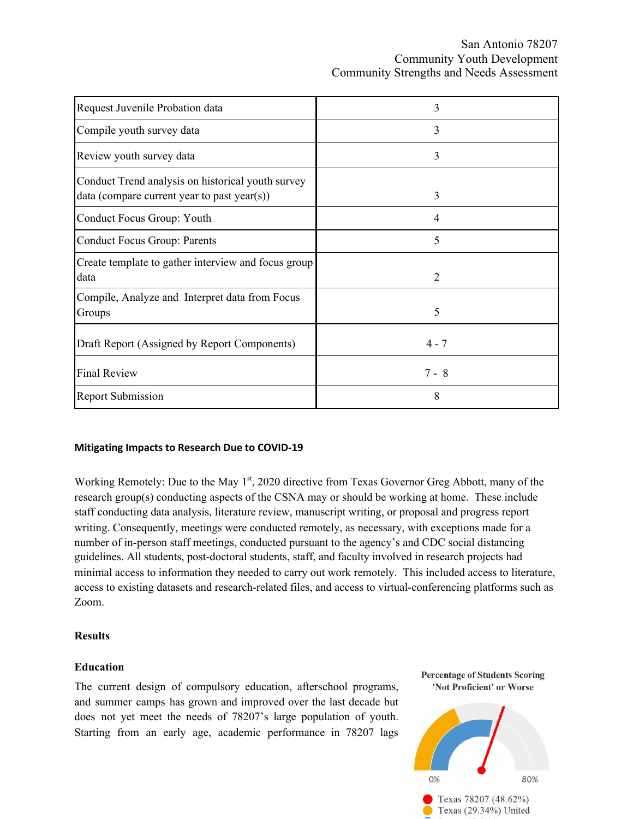San Antonio 78207 Community Youth Development Community Strengths and Needs Assessment

| Request Juvenile Probation data                                                                  | 3       |
|--------------------------------------------------------------------------------------------------|---------|
| Compile youth survey data                                                                        | 3       |
| Review youth survey data                                                                         | 3       |
| Conduct Trend analysis on historical youth survey<br>data (compare current year to past year(s)) | 3       |
| Conduct Focus Group: Youth                                                                       | 4       |
| <b>Conduct Focus Group: Parents</b>                                                              | 5       |
| Create template to gather interview and focus group<br>data                                      | 2       |
| Compile, Analyze and Interpret data from Focus<br>Groups                                         | 5       |
| Draft Report (Assigned by Report Components)                                                     | $4 - 7$ |
| <b>Final Review</b>                                                                              | $7 - 8$ |
| <b>Report Submission</b>                                                                         | 8       |

#### <span id="page-11-0"></span>**Mitigating Impacts to Research Due to COVID-19**

Working Remotely: Due to the May 1<sup>st</sup>, 2020 directive from Texas Governor Greg Abbott, many of the research group(s) conducting aspects of the CSNA may or should be working at home. These include staff conducting data analysis, literature review, manuscript writing, or proposal and progress report writing. Consequently, meetings were conducted remotely, as necessary, with exceptions made for a number of in-person staff meetings, conducted pursuant to the agency's and CDC social distancing guidelines. All students, post-doctoral students, staff, and faculty involved in research projects had minimal access to information they needed to carry out work remotely. This included access to literature, access to existing datasets and research-related files, and access to virtual-conferencing platforms such as Zoom.

#### <span id="page-11-1"></span>**Results**

#### <span id="page-11-2"></span>**Education**

The current design of compulsory education, afterschool programs, and summer camps has grown and improved over the last decade but does not yet meet the needs of 78207's large population of youth. Starting from an early age, academic performance in 78207 lags

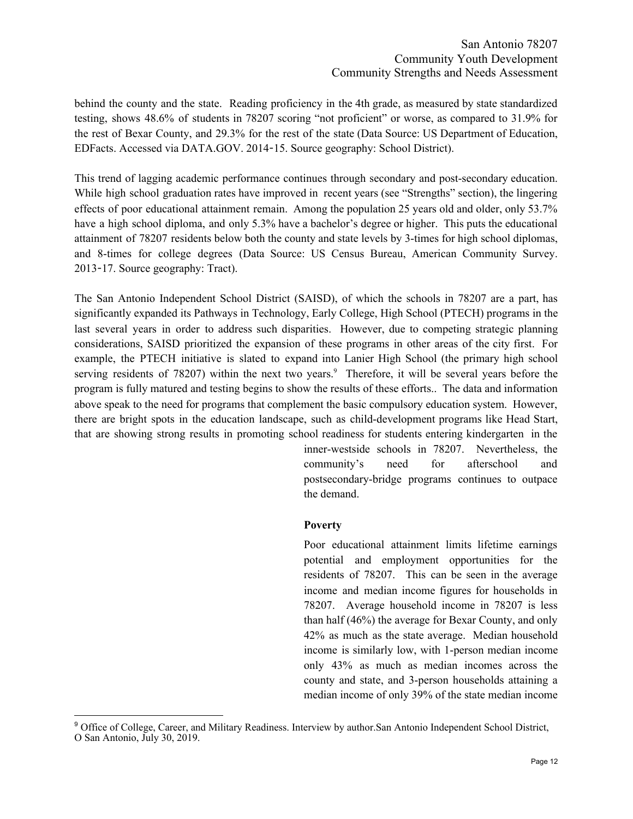behind the county and the state. Reading proficiency in the 4th grade, as measured by state standardized testing, shows 48.6% of students in 78207 scoring "not proficient" or worse, as compared to 31.9% for the rest of Bexar County, and 29.3% for the rest of the state (Data Source: US Department of Education, EDFacts. Accessed via DATA.GOV. 2014-15. Source geography: School District).

This trend of lagging academic performance continues through secondary and post-secondary education. While high school graduation rates have improved in recent years (see "Strengths" section), the lingering effects of poor educational attainment remain. Among the population 25 years old and older, only 53.7% have a high school diploma, and only 5.3% have a bachelor's degree or higher. This puts the educational attainment of 78207 residents below both the county and state levels by 3-times for high school diplomas, and 8-times for college degrees (Data Source: US Census Bureau, American Community Survey. 2013-17. Source geography: Tract).

<span id="page-12-0"></span>The San Antonio Independent School District (SAISD), of which the schools in 78207 are a part, has significantly expanded its Pathways in Technology, Early College, High School (PTECH) programs in the last several years in order to address such disparities. However, due to competing strategic planning considerations, SAISD prioritized the expansion of these programs in other areas of the city first. For example, the PTECH initiative is slated to expand into Lanier High School (the primary high school serving residents of 78207) within the next two years.<sup>9</sup> Therefore, it will be several years before the program is fully matured and testing begins to show the results of these efforts.. The data and information above speak to the need for programs that complement the basic compulsory education system. However, there are bright spots in the education landscape, such as child-development programs like Head Start, that are showing strong results in promoting school readiness for students entering kindergarten in the

> inner-westside schools in 78207. Nevertheless, the community's need for afterschool and postsecondary-bridge programs continues to outpace the demand.

#### **Poverty**

Poor educational attainment limits lifetime earnings potential and employment opportunities for the residents of 78207. This can be seen in the average income and median income figures for households in 78207. Average household income in 78207 is less than half (46%) the average for Bexar County, and only 42% as much as the state average. Median household income is similarly low, with 1-person median income only 43% as much as median incomes across the county and state, and 3-person households attaining a median income of only 39% of the state median income

<sup>9</sup> Office of College, Career, and Military Readiness. Interview by author.San Antonio Independent School District, O San Antonio, July 30, 2019.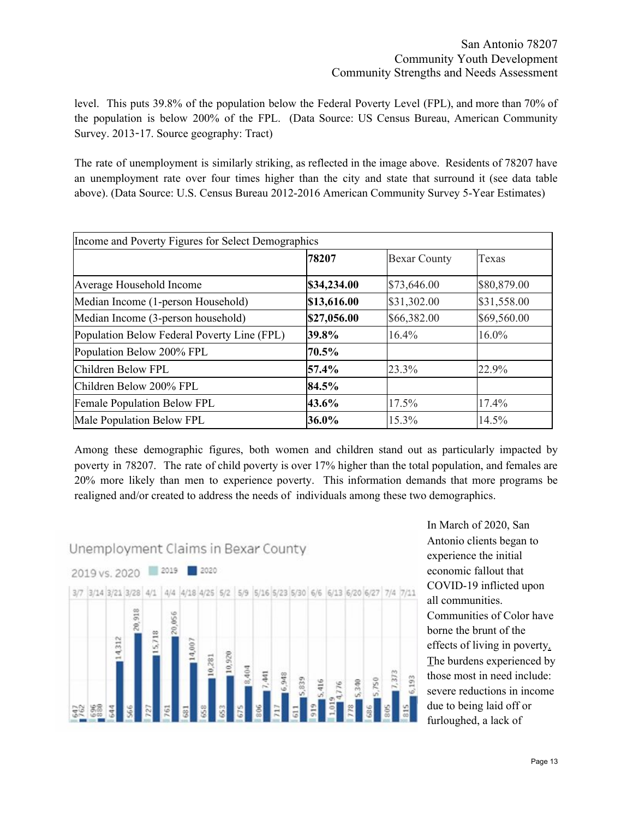level. This puts 39.8% of the population below the Federal Poverty Level (FPL), and more than 70% of the population is below 200% of the FPL. (Data Source: US Census Bureau, American Community Survey. 2013-17. Source geography: Tract)

The rate of unemployment is similarly striking, as reflected in the image above. Residents of 78207 have an unemployment rate over four times higher than the city and state that surround it (see data table above). (Data Source: U.S. Census Bureau 2012-2016 American Community Survey 5-Year Estimates)

| Income and Poverty Figures for Select Demographics |             |                     |             |
|----------------------------------------------------|-------------|---------------------|-------------|
|                                                    | 78207       | <b>Bexar County</b> | Texas       |
| Average Household Income                           | \$34,234.00 | \$73,646.00         | \$80,879.00 |
| Median Income (1-person Household)                 | \$13,616.00 | \$31,302.00         | \$31,558.00 |
| Median Income (3-person household)                 | \$27,056.00 | \$66,382.00         | \$69,560.00 |
| Population Below Federal Poverty Line (FPL)        | 39.8%       | 16.4%               | $16.0\%$    |
| Population Below 200% FPL                          | 70.5%       |                     |             |
| Children Below FPL                                 | 57.4%       | 23.3%               | 22.9%       |
| Children Below 200% FPL                            | 84.5%       |                     |             |
| <b>Female Population Below FPL</b>                 | 43.6%       | 17.5%               | 17.4%       |
| Male Population Below FPL                          | 36.0%       | 15.3%               | 14.5%       |

Among these demographic figures, both women and children stand out as particularly impacted by poverty in 78207. The rate of child poverty is over 17% higher than the total population, and females are 20% more likely than men to experience poverty. This information demands that more programs be realigned and/or created to address the needs of individuals among these two demographics.



In March of 2020, San Antonio clients began to experience the initial economic fallout that COVID-19 inflicted upon all communities. Communities of Color have borne the brunt of the effects of living in poverty. The burdens experienced by those most in need include: severe reductions in income due to being laid off or furloughed, a lack of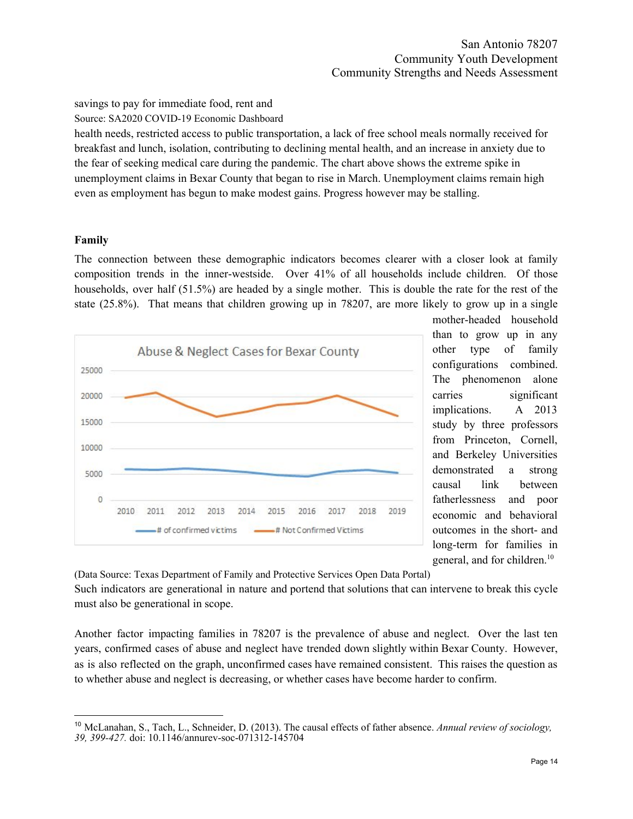savings to pay for immediate food, rent and

Source: SA2020 COVID-19 Economic Dashboard

health needs, restricted access to public transportation, a lack of free school meals normally received for breakfast and lunch, isolation, contributing to declining mental health, and an increase in anxiety due to the fear of seeking medical care during the pandemic. The chart above shows the extreme spike in unemployment claims in Bexar County that began to rise in March. Unemployment claims remain high even as employment has begun to make modest gains. Progress however may be stalling.

## <span id="page-14-0"></span>**Family**

The connection between these demographic indicators becomes clearer with a closer look at family composition trends in the inner-westside. Over 41% of all households include children. Of those households, over half (51.5%) are headed by a single mother. This is double the rate for the rest of the state (25.8%). That means that children growing up in 78207, are more likely to grow up in a single



mother-headed household than to grow up in any other type of family configurations combined. The phenomenon alone carries significant implications. A 2013 study by three professors from Princeton, Cornell, and Berkeley Universities demonstrated a strong causal link between fatherlessness and poor economic and behavioral outcomes in the short- and long-term for families in general, and for children. 10

(Data Source: Texas Department of Family and Protective Services Open Data Portal)

Such indicators are generational in nature and portend that solutions that can intervene to break this cycle must also be generational in scope.

Another factor impacting families in 78207 is the prevalence of abuse and neglect. Over the last ten years, confirmed cases of abuse and neglect have trended down slightly within Bexar County. However, as is also reflected on the graph, unconfirmed cases have remained consistent. This raises the question as to whether abuse and neglect is decreasing, or whether cases have become harder to confirm.

<sup>10</sup> McLanahan, S., Tach, L., Schneider, D. (2013). The causal effects of father absence. *Annual review of sociology, 39, 399-427.* doi: 10.1146/annurev-soc-071312-145704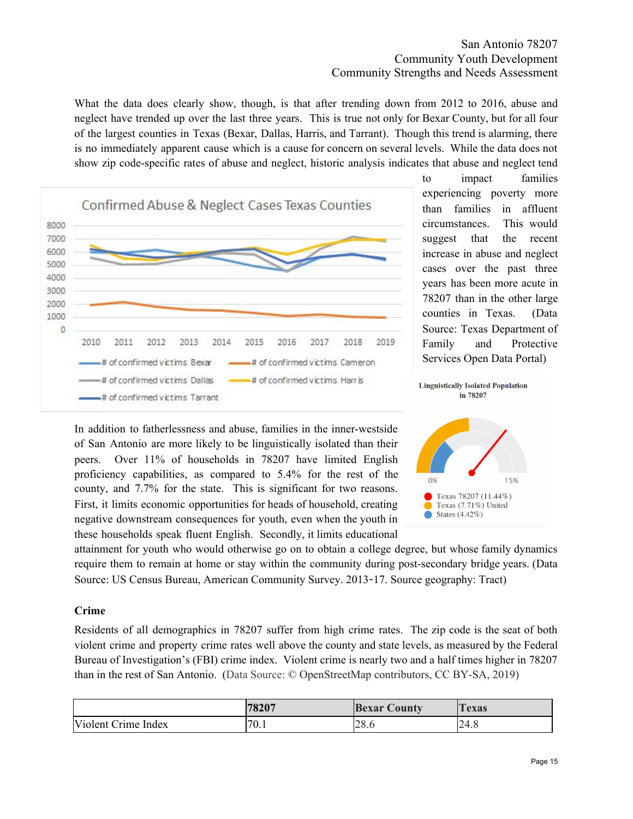## San Antonio 78207 Community Youth Development Community Strengths and Needs Assessment

What the data does clearly show, though, is that after trending down from 2012 to 2016, abuse and neglect have trended up over the last three years. This is true not only for Bexar County, but for all four of the largest counties in Texas (Bexar, Dallas, Harris, and Tarrant). Though this trend is alarming, there is no immediately apparent cause which is a cause for concern on several levels. While the data does not show zip code-specific rates of abuse and neglect, historic analysis indicates that abuse and neglect tend



to impact families experiencing poverty more than families in affluent circumstances. This would suggest that the recent increase in abuse and neglect cases over the past three years has been more acute in 78207 than in the other large counties in Texas. (Data Source: Texas Department of Family and Protective Services Open Data Portal)

In addition to fatherlessness and abuse, families in the inner-westside of San Antonio are more likely to be linguistically isolated than their peers. Over 11% of households in 78207 have limited English proficiency capabilities, as compared to 5.4% for the rest of the county, and 7.7% for the state. This is significant for two reasons. First, it limits economic opportunities for heads of household, creating negative downstream consequences for youth, even when the youth in these households speak fluent English. Secondly, it limits educational



in 78207

attainment for youth who would otherwise go on to obtain a college degree, but whose family dynamics require them to remain at home or stay within the community during post-secondary bridge years. (Data Source: US Census Bureau, American Community Survey. 2013-17. Source geography: Tract)

## <span id="page-15-0"></span>**Crime**

Residents of all demographics in 78207 suffer from high crime rates. The zip code is the seat of both violent crime and property crime rates well above the county and state levels, as measured by the Federal Bureau of Investigation's (FBI) crime index. Violent crime is nearly two and a half times higher in 78207 than in the rest of San Antonio. (Data Source: © OpenStreetMap contributors, CC BY-SA, 2019)

|                     | 78207 | <b>Bexar County</b> | exas |
|---------------------|-------|---------------------|------|
| Violent Crime Index | 70.1  | no<br>20.U          | 24.8 |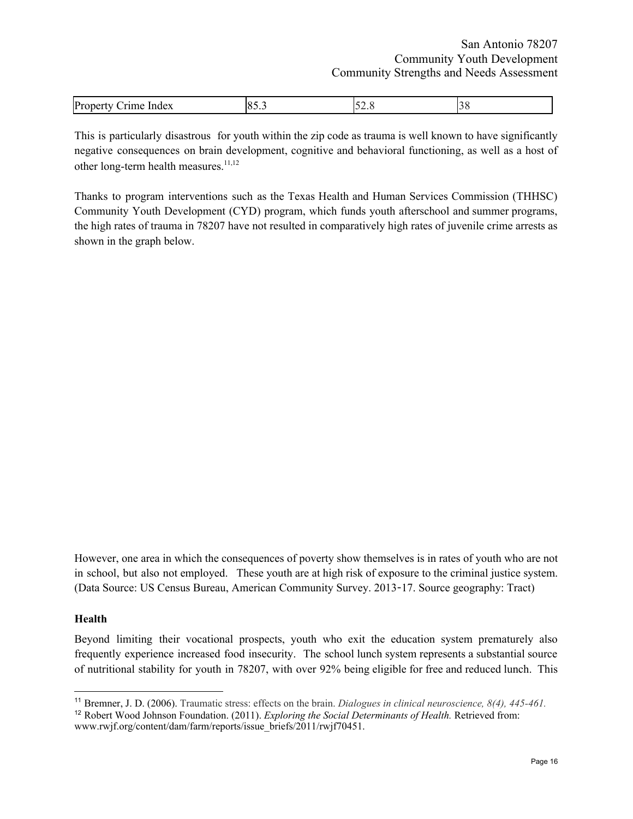| In<br>$\Omega$<br>Index<br>$\mathbf{U}$<br>,<br>$\sim$ $\sim$ |
|---------------------------------------------------------------|
|---------------------------------------------------------------|

This is particularly disastrous for youth within the zip code as trauma is well known to have significantly negative consequences on brain development, cognitive and behavioral functioning, as well as a host of other long-term health measures. 11,12

Thanks to program interventions such as the Texas Health and Human Services Commission (THHSC) Community Youth Development (CYD) program, which funds youth afterschool and summer programs, the high rates of trauma in 78207 have not resulted in comparatively high rates of juvenile crime arrests as shown in the graph below.

However, one area in which the consequences of poverty show themselves is in rates of youth who are not in school, but also not employed. These youth are at high risk of exposure to the criminal justice system. (Data Source: US Census Bureau, American Community Survey. 2013-17. Source geography: Tract)

#### <span id="page-16-0"></span>**Health**

Beyond limiting their vocational prospects, youth who exit the education system prematurely also frequently experience increased food insecurity. The school lunch system represents a substantial source of nutritional stability for youth in 78207, with over 92% being eligible for free and reduced lunch. This

<sup>11</sup> Bremner, J. D. (2006). Traumatic stress: effects on the brain. *Dialogues in clinical neuroscience, 8(4), 445-461.*

<sup>12</sup> Robert Wood Johnson Foundation. (2011). *Exploring the Social Determinants of Health.* Retrieved from: www.rwjf.org/content/dam/farm/reports/issue\_briefs/2011/rwjf70451.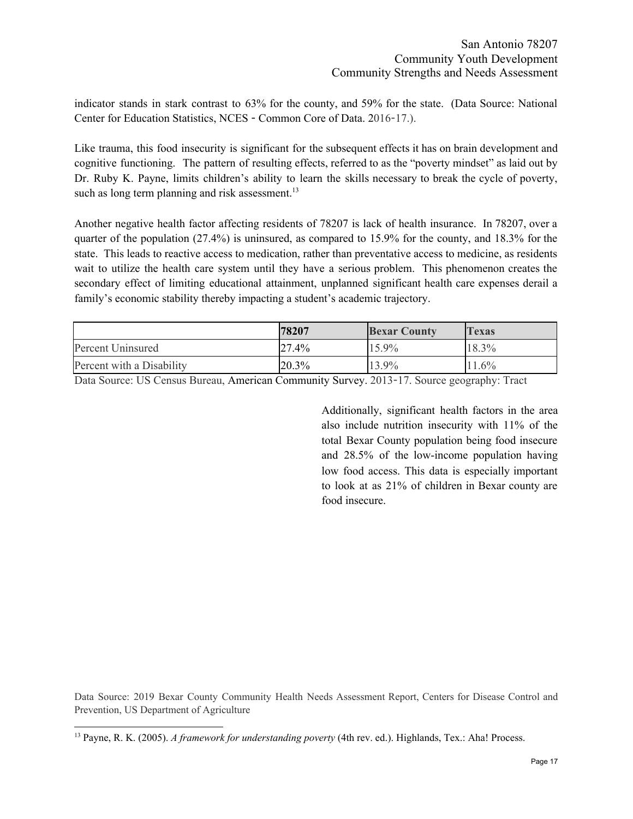indicator stands in stark contrast to 63% for the county, and 59% for the state. (Data Source: National Center for Education Statistics, NCES - Common Core of Data. 2016-17.).

Like trauma, this food insecurity is significant for the subsequent effects it has on brain development and cognitive functioning. The pattern of resulting effects, referred to as the "poverty mindset" as laid out by Dr. Ruby K. Payne, limits children's ability to learn the skills necessary to break the cycle of poverty, such as long term planning and risk assessment.<sup>13</sup>

Another negative health factor affecting residents of 78207 is lack of health insurance. In 78207, over a quarter of the population (27.4%) is uninsured, as compared to 15.9% for the county, and 18.3% for the state. This leads to reactive access to medication, rather than preventative access to medicine, as residents wait to utilize the health care system until they have a serious problem. This phenomenon creates the secondary effect of limiting educational attainment, unplanned significant health care expenses derail a family's economic stability thereby impacting a student's academic trajectory.

|                           | 78207 | <b>Bexar County</b> | Texas    |
|---------------------------|-------|---------------------|----------|
| Percent Uninsured         | 27.4% | 15.9%               | 18.3%    |
| Percent with a Disability | 20.3% | 13.9%               | $11.6\%$ |

Data Source: US Census Bureau, American Community Survey. 2013-17. Source geography: Tract

Additionally, significant health factors in the area also include nutrition insecurity with 11% of the total Bexar County population being food insecure and 28.5% of the low-income population having low food access. This data is especially important to look at as 21% of children in Bexar county are food insecure.

Data Source: 2019 Bexar County Community Health Needs Assessment Report, Centers for Disease Control and Prevention, US Department of Agriculture

<sup>13</sup> Payne, R. K. (2005). *A framework for understanding poverty* (4th rev. ed.). Highlands, Tex.: Aha! Process.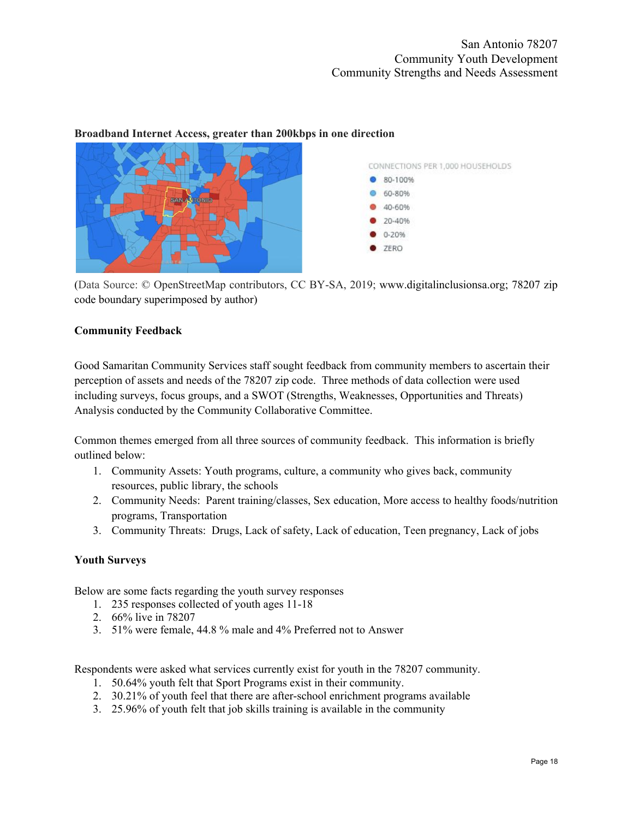

#### **Broadband Internet Access, greater than 200kbps in one direction**

(Data Source: © OpenStreetMap contributors, CC BY-SA, 2019; www.digitalinclusionsa.org; 78207 zip code boundary superimposed by author)

### <span id="page-18-0"></span>**Community Feedback**

Good Samaritan Community Services staff sought feedback from community members to ascertain their perception of assets and needs of the 78207 zip code. Three methods of data collection were used including surveys, focus groups, and a SWOT (Strengths, Weaknesses, Opportunities and Threats) Analysis conducted by the Community Collaborative Committee.

Common themes emerged from all three sources of community feedback. This information is briefly outlined below:

- 1. Community Assets: Youth programs, culture, a community who gives back, community resources, public library, the schools
- 2. Community Needs: Parent training/classes, Sex education, More access to healthy foods/nutrition programs, Transportation
- 3. Community Threats: Drugs, Lack of safety, Lack of education, Teen pregnancy, Lack of jobs

## <span id="page-18-1"></span>**Youth Surveys**

Below are some facts regarding the youth survey responses

- 1. 235 responses collected of youth ages 11-18
- 2. 66% live in 78207
- 3. 51% were female, 44.8 % male and 4% Preferred not to Answer

Respondents were asked what services currently exist for youth in the 78207 community.

- 1. 50.64% youth felt that Sport Programs exist in their community.
- 2. 30.21% of youth feel that there are after-school enrichment programs available
- 3. 25.96% of youth felt that job skills training is available in the community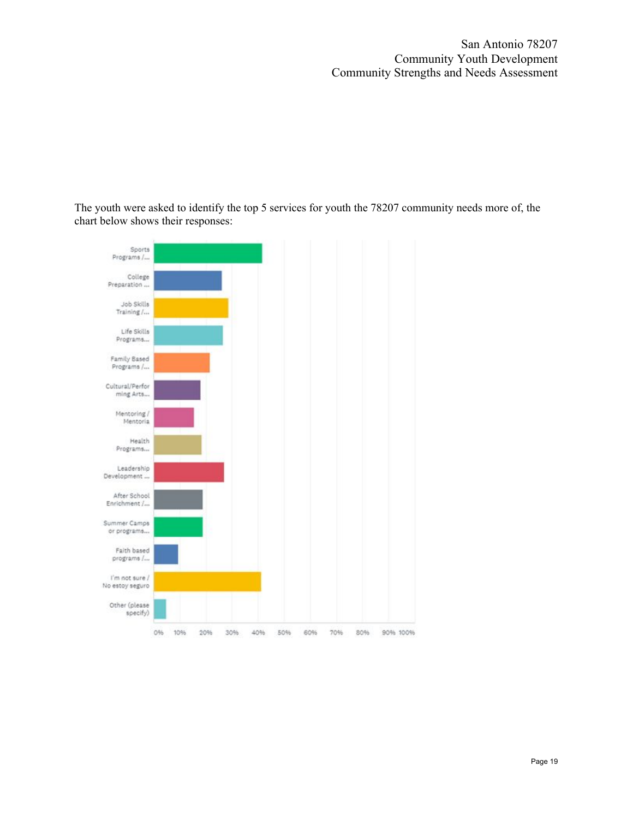San Antonio 78207 Community Youth Development Community Strengths and Needs Assessment

The youth were asked to identify the top 5 services for youth the 78207 community needs more of, the chart below shows their responses:

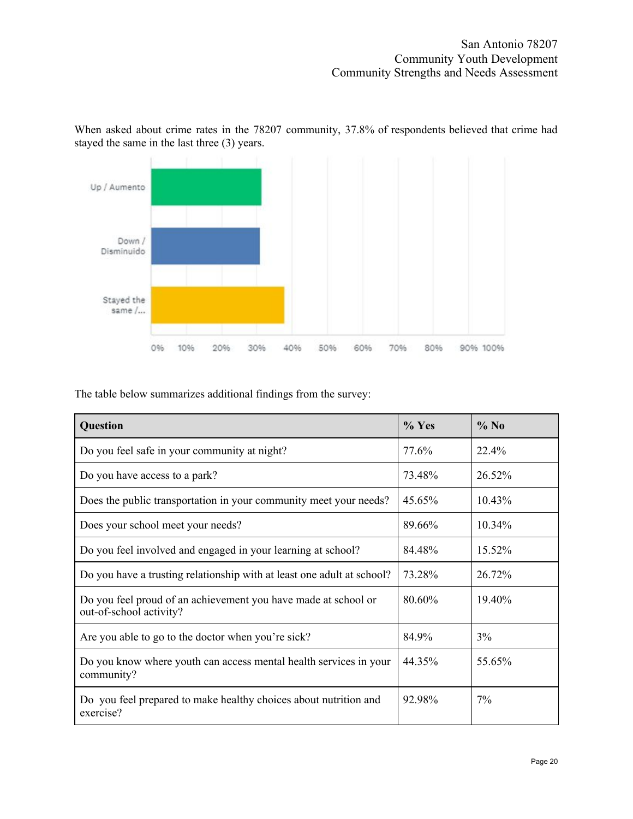

When asked about crime rates in the 78207 community, 37.8% of respondents believed that crime had stayed the same in the last three (3) years.

The table below summarizes additional findings from the survey:

| Question                                                                                  | $%$ Yes   | $%$ No    |
|-------------------------------------------------------------------------------------------|-----------|-----------|
| Do you feel safe in your community at night?                                              | 77.6%     | 22.4%     |
| Do you have access to a park?                                                             | 73.48%    | 26.52%    |
| Does the public transportation in your community meet your needs?                         | $45.65\%$ | $10.43\%$ |
| Does your school meet your needs?                                                         | 89.66%    | 10.34%    |
| Do you feel involved and engaged in your learning at school?                              | 84.48%    | 15.52%    |
| Do you have a trusting relationship with at least one adult at school?                    | 73.28%    | 26.72%    |
| Do you feel proud of an achievement you have made at school or<br>out-of-school activity? | 80.60%    | 19.40%    |
| Are you able to go to the doctor when you're sick?                                        | 84.9%     | 3%        |
| Do you know where youth can access mental health services in your<br>community?           | 44.35%    | 55.65%    |
| Do you feel prepared to make healthy choices about nutrition and<br>exercise?             | 92.98%    | 7%        |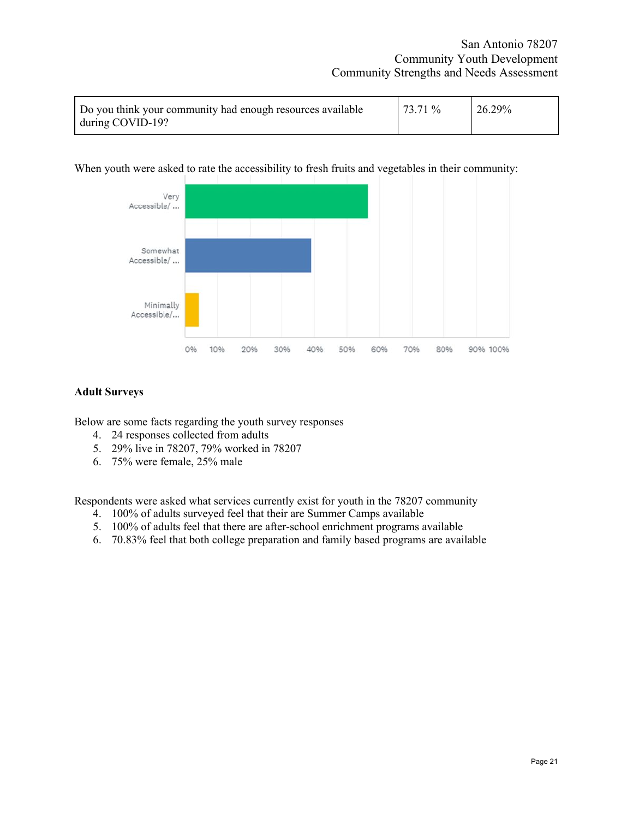| Do you think your community had enough resources available | 73.71% | $26.29\%$ |
|------------------------------------------------------------|--------|-----------|
| during COVID-19?                                           |        |           |

#### When youth were asked to rate the accessibility to fresh fruits and vegetables in their community:



#### <span id="page-21-0"></span>**Adult Surveys**

Below are some facts regarding the youth survey responses

- 4. 24 responses collected from adults
- 5. 29% live in 78207, 79% worked in 78207
- 6. 75% were female, 25% male

Respondents were asked what services currently exist for youth in the 78207 community

- 4. 100% of adults surveyed feel that their are Summer Camps available
- 5. 100% of adults feel that there are after-school enrichment programs available
- 6. 70.83% feel that both college preparation and family based programs are available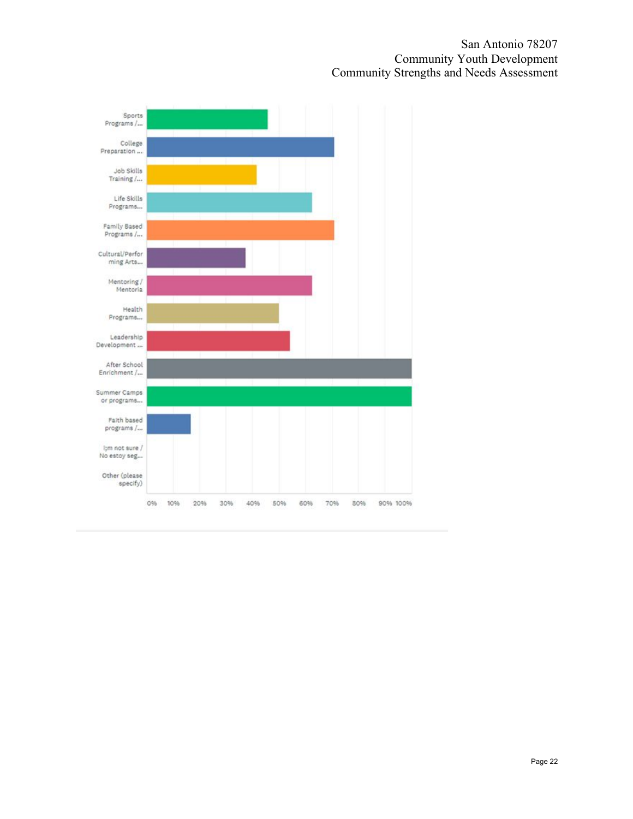San Antonio 78207 Community Youth Development Community Strengths and Needs Assessment

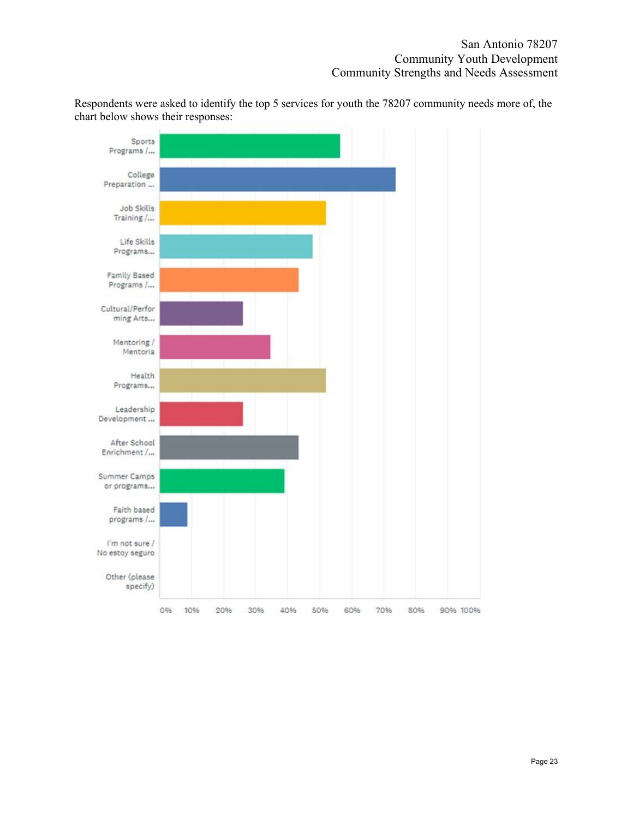Respondents were asked to identify the top 5 services for youth the 78207 community needs more of, the chart below shows their responses:

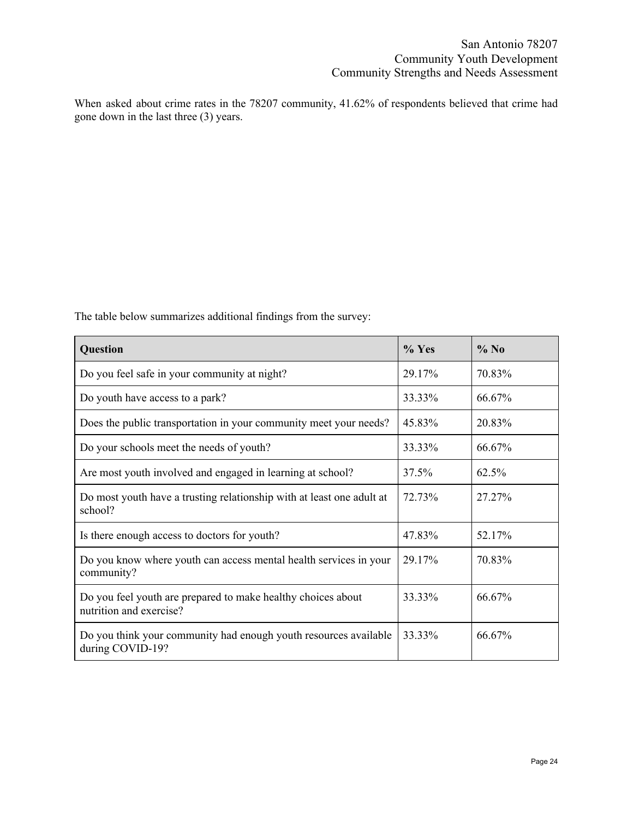When asked about crime rates in the 78207 community, 41.62% of respondents believed that crime had gone down in the last three (3) years.

The table below summarizes additional findings from the survey:

| Question                                                                                | $%$ Yes | $%$ No |
|-----------------------------------------------------------------------------------------|---------|--------|
| Do you feel safe in your community at night?                                            | 29.17%  | 70.83% |
| Do youth have access to a park?                                                         | 33.33%  | 66.67% |
| Does the public transportation in your community meet your needs?                       | 45.83%  | 20.83% |
| Do your schools meet the needs of youth?                                                | 33.33%  | 66.67% |
| Are most youth involved and engaged in learning at school?                              | 37.5%   | 62.5%  |
| Do most youth have a trusting relationship with at least one adult at<br>school?        | 72.73%  | 27.27% |
| Is there enough access to doctors for youth?                                            | 47.83%  | 52.17% |
| Do you know where youth can access mental health services in your<br>community?         | 29.17%  | 70.83% |
| Do you feel youth are prepared to make healthy choices about<br>nutrition and exercise? | 33.33%  | 66.67% |
| Do you think your community had enough youth resources available<br>during COVID-19?    | 33.33%  | 66.67% |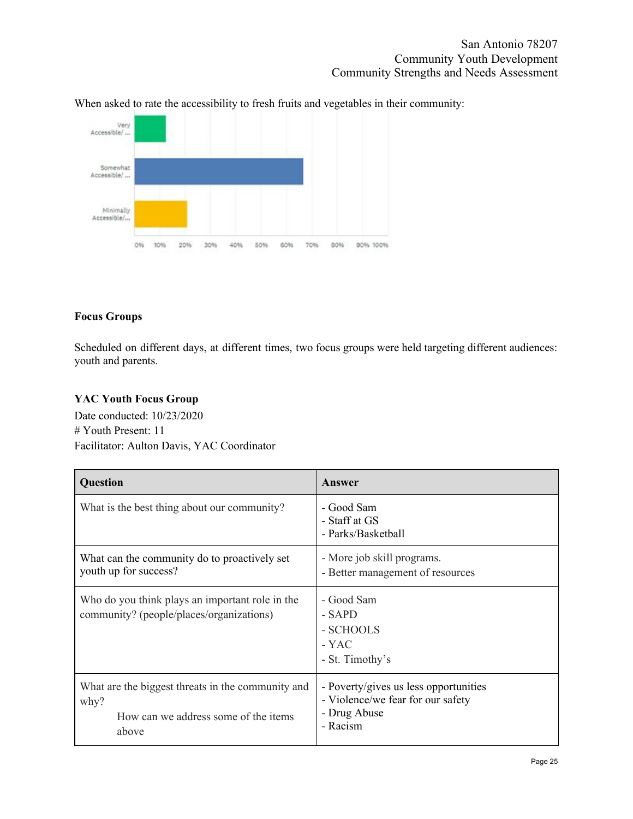



### <span id="page-25-0"></span>**Focus Groups**

Scheduled on different days, at different times, two focus groups were held targeting different audiences: youth and parents.

# <span id="page-25-1"></span>**YAC Youth Focus Group**

Date conducted: 10/23/2020 # Youth Present: 11 Facilitator: Aulton Davis, YAC Coordinator

| Question                                                                                                   | Answer                                                                                                 |
|------------------------------------------------------------------------------------------------------------|--------------------------------------------------------------------------------------------------------|
| What is the best thing about our community?                                                                | - Good Sam<br>- Staff at GS<br>- Parks/Basketball                                                      |
| What can the community do to proactively set<br>youth up for success?                                      | - More job skill programs.<br>- Better management of resources                                         |
| Who do you think plays an important role in the<br>community? (people/places/organizations)                | - Good Sam<br>- SAPD<br>- SCHOOLS<br>- YAC<br>- St. Timothy's                                          |
| What are the biggest threats in the community and<br>why?<br>How can we address some of the items<br>above | - Poverty/gives us less opportunities<br>- Violence/we fear for our safety<br>- Drug Abuse<br>- Racism |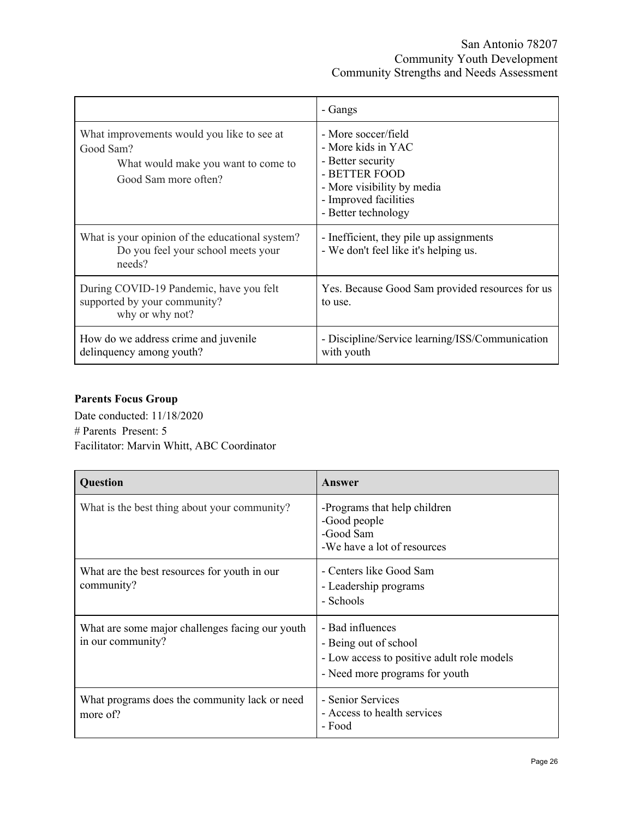|                                                                                                                        | - Gangs                                                                                                                                                       |
|------------------------------------------------------------------------------------------------------------------------|---------------------------------------------------------------------------------------------------------------------------------------------------------------|
| What improvements would you like to see at<br>Good Sam?<br>What would make you want to come to<br>Good Sam more often? | - More soccer/field<br>- More kids in YAC<br>- Better security<br>- BETTER FOOD<br>- More visibility by media<br>- Improved facilities<br>- Better technology |
| What is your opinion of the educational system?<br>Do you feel your school meets your<br>needs?                        | - Inefficient, they pile up assignments<br>- We don't feel like it's helping us.                                                                              |
| During COVID-19 Pandemic, have you felt<br>supported by your community?<br>why or why not?                             | Yes. Because Good Sam provided resources for us<br>to use.                                                                                                    |
| How do we address crime and juvenile<br>delinquency among youth?                                                       | - Discipline/Service learning/ISS/Communication<br>with youth                                                                                                 |

# <span id="page-26-0"></span>**Parents Focus Group**

Date conducted: 11/18/2020 # Parents Present: 5 Facilitator: Marvin Whitt, ABC Coordinator

| Question                                                             | Answer                                                                                                                    |
|----------------------------------------------------------------------|---------------------------------------------------------------------------------------------------------------------------|
| What is the best thing about your community?                         | -Programs that help children<br>-Good people<br>-Good Sam<br>-We have a lot of resources                                  |
| What are the best resources for youth in our<br>community?           | - Centers like Good Sam<br>- Leadership programs<br>- Schools                                                             |
| What are some major challenges facing our youth<br>in our community? | - Bad influences<br>- Being out of school<br>- Low access to positive adult role models<br>- Need more programs for youth |
| What programs does the community lack or need<br>more of?            | - Senior Services<br>- Access to health services<br>- Food                                                                |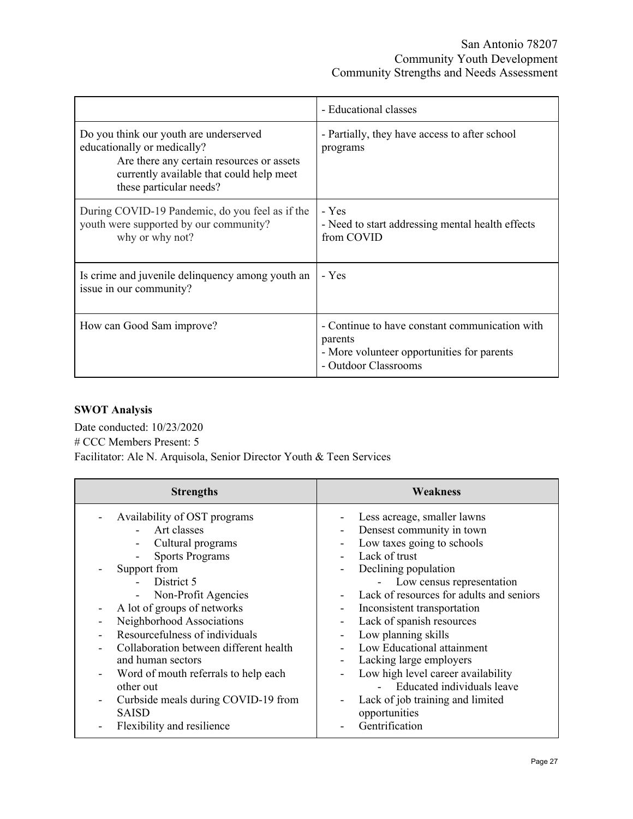|                                                                                                                                                                                           | - Educational classes                                                                                                           |
|-------------------------------------------------------------------------------------------------------------------------------------------------------------------------------------------|---------------------------------------------------------------------------------------------------------------------------------|
| Do you think our youth are underserved<br>educationally or medically?<br>Are there any certain resources or assets<br>currently available that could help meet<br>these particular needs? | - Partially, they have access to after school<br>programs                                                                       |
| During COVID-19 Pandemic, do you feel as if the<br>youth were supported by our community?<br>why or why not?                                                                              | - Yes<br>- Need to start addressing mental health effects<br>from COVID                                                         |
| Is crime and juvenile delinquency among youth an<br>issue in our community?                                                                                                               | - Yes                                                                                                                           |
| How can Good Sam improve?                                                                                                                                                                 | - Continue to have constant communication with<br>parents<br>- More volunteer opportunities for parents<br>- Outdoor Classrooms |

# <span id="page-27-0"></span>**SWOT Analysis**

Date conducted: 10/23/2020 # CCC Members Present: 5 Facilitator: Ale N. Arquisola, Senior Director Youth & Teen Services

| <b>Strengths</b>                                                                                                                                                                                                                                                                                                                                                                                                                                                         | Weakness                                                                                                                                                                                                                                                                                                                                                                                                                                                                                                                          |  |
|--------------------------------------------------------------------------------------------------------------------------------------------------------------------------------------------------------------------------------------------------------------------------------------------------------------------------------------------------------------------------------------------------------------------------------------------------------------------------|-----------------------------------------------------------------------------------------------------------------------------------------------------------------------------------------------------------------------------------------------------------------------------------------------------------------------------------------------------------------------------------------------------------------------------------------------------------------------------------------------------------------------------------|--|
| Availability of OST programs<br>Art classes<br>Cultural programs<br><b>Sports Programs</b><br>Support from<br>District 5<br>Non-Profit Agencies<br>$\blacksquare$<br>A lot of groups of networks<br>Neighborhood Associations<br>Resourcefulness of individuals<br>Collaboration between different health<br>and human sectors<br>Word of mouth referrals to help each<br>other out<br>Curbside meals during COVID-19 from<br><b>SAISD</b><br>Flexibility and resilience | Less acreage, smaller lawns<br>Densest community in town<br>Low taxes going to schools<br>Lack of trust<br>Declining population<br>Ξ.<br>Low census representation<br>Lack of resources for adults and seniors<br>Inconsistent transportation<br>Lack of spanish resources<br>Low planning skills<br>Low Educational attainment<br>Lacking large employers<br>Low high level career availability<br>$\overline{\phantom{0}}$<br>Educated individuals leave<br>Lack of job training and limited<br>opportunities<br>Gentrification |  |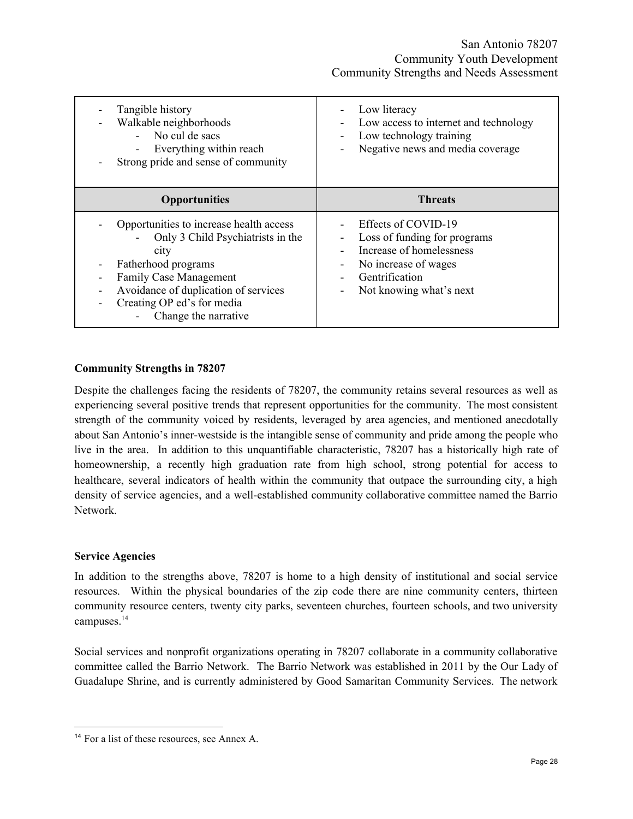| Tangible history<br>Walkable neighborhoods<br>No cul de sacs<br>Everything within reach<br>Strong pride and sense of community                                                                                                             | Low literacy<br>Low access to internet and technology<br>Low technology training<br>Negative news and media coverage                                                             |
|--------------------------------------------------------------------------------------------------------------------------------------------------------------------------------------------------------------------------------------------|----------------------------------------------------------------------------------------------------------------------------------------------------------------------------------|
| <b>Opportunities</b>                                                                                                                                                                                                                       | <b>Threats</b>                                                                                                                                                                   |
| Opportunities to increase health access<br>Only 3 Child Psychiatrists in the<br>city<br>Fatherhood programs<br><b>Family Case Management</b><br>Avoidance of duplication of services<br>Creating OP ed's for media<br>Change the narrative | Effects of COVID-19<br>Loss of funding for programs<br>Increase of homelessness<br>No increase of wages<br>$\overline{\phantom{a}}$<br>Gentrification<br>Not knowing what's next |

### <span id="page-28-0"></span>**Community Strengths in 78207**

Despite the challenges facing the residents of 78207, the community retains several resources as well as experiencing several positive trends that represent opportunities for the community. The most consistent strength of the community voiced by residents, leveraged by area agencies, and mentioned anecdotally about San Antonio's inner-westside is the intangible sense of community and pride among the people who live in the area. In addition to this unquantifiable characteristic, 78207 has a historically high rate of homeownership, a recently high graduation rate from high school, strong potential for access to healthcare, several indicators of health within the community that outpace the surrounding city, a high density of service agencies, and a well-established community collaborative committee named the Barrio Network.

#### <span id="page-28-1"></span>**Service Agencies**

In addition to the strengths above, 78207 is home to a high density of institutional and social service resources. Within the physical boundaries of the zip code there are nine community centers, thirteen community resource centers, twenty city parks, seventeen churches, fourteen schools, and two university campuses. 14

Social services and nonprofit organizations operating in 78207 collaborate in a community collaborative committee called the Barrio Network. The Barrio Network was established in 2011 by the Our Lady of Guadalupe Shrine, and is currently administered by Good Samaritan Community Services. The network

<sup>14</sup> For a list of these resources, see Annex A.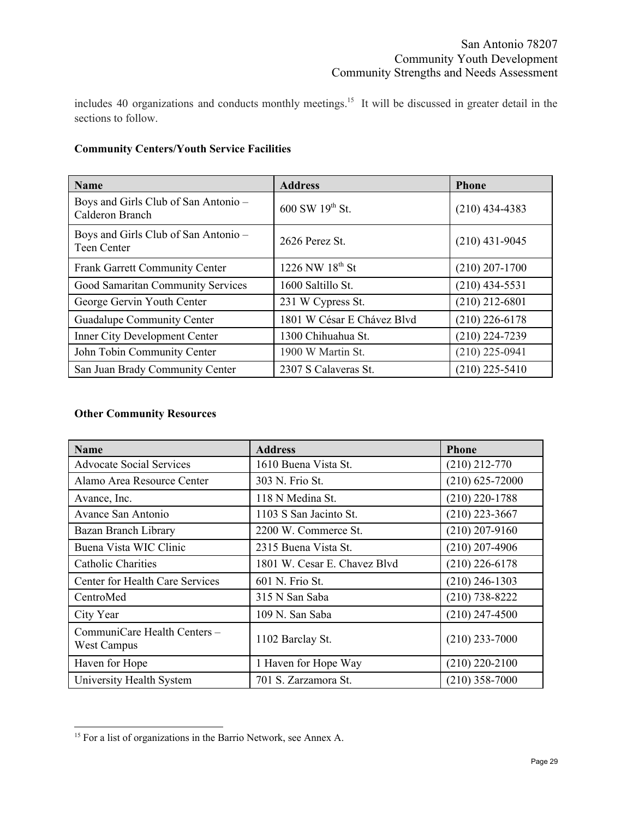includes 40 organizations and conducts monthly meetings. 15 It will be discussed in greater detail in the sections to follow.

## <span id="page-29-0"></span>**Community Centers/Youth Service Facilities**

| <b>Name</b>                                                | <b>Address</b>             | <b>Phone</b>     |
|------------------------------------------------------------|----------------------------|------------------|
| Boys and Girls Club of San Antonio -<br>Calderon Branch    | 600 SW 19th St.            | $(210)$ 434-4383 |
| Boys and Girls Club of San Antonio -<br><b>Teen Center</b> | 2626 Perez St              | $(210)$ 431-9045 |
| <b>Frank Garrett Community Center</b>                      | 1226 NW 18th St            | $(210)$ 207-1700 |
| Good Samaritan Community Services                          | 1600 Saltillo St.          | $(210)$ 434-5531 |
| George Gervin Youth Center                                 | 231 W Cypress St.          | $(210)$ 212-6801 |
| <b>Guadalupe Community Center</b>                          | 1801 W César E Chávez Blyd | $(210)$ 226-6178 |
| <b>Inner City Development Center</b>                       | 1300 Chihuahua St.         | $(210)$ 224-7239 |
| John Tobin Community Center                                | 1900 W Martin St.          | $(210)$ 225-0941 |
| San Juan Brady Community Center                            | 2307 S Calaveras St.       | $(210)$ 225-5410 |

# <span id="page-29-1"></span>**Other Community Resources**

| <b>Name</b>                                 | <b>Address</b>               | <b>Phone</b>        |
|---------------------------------------------|------------------------------|---------------------|
| <b>Advocate Social Services</b>             | 1610 Buena Vista St.         | $(210)$ 212-770     |
| Alamo Area Resource Center                  | 303 N. Frio St.              | $(210) 625 - 72000$ |
| Avance, Inc.                                | 118 N Medina St.             | $(210)$ 220-1788    |
| Avance San Antonio                          | 1103 S San Jacinto St.       | $(210)$ 223-3667    |
| Bazan Branch Library                        | 2200 W. Commerce St.         | $(210)$ 207-9160    |
| Buena Vista WIC Clinic                      | 2315 Buena Vista St.         | $(210)$ 207-4906    |
| Catholic Charities                          | 1801 W. Cesar E. Chavez Blvd | $(210)$ 226-6178    |
| Center for Health Care Services             | 601 N. Frio St.              | $(210)$ 246-1303    |
| CentroMed                                   | 315 N San Saba               | $(210)$ 738-8222    |
| City Year                                   | 109 N. San Saba              | $(210)$ 247-4500    |
| CommuniCare Health Centers -<br>West Campus | 1102 Barclay St.             | $(210)$ 233-7000    |
| Haven for Hope                              | 1 Haven for Hope Way         | $(210)$ 220-2100    |
| University Health System                    | 701 S. Zarzamora St.         | $(210)$ 358-7000    |

<sup>&</sup>lt;sup>15</sup> For a list of organizations in the Barrio Network, see Annex A.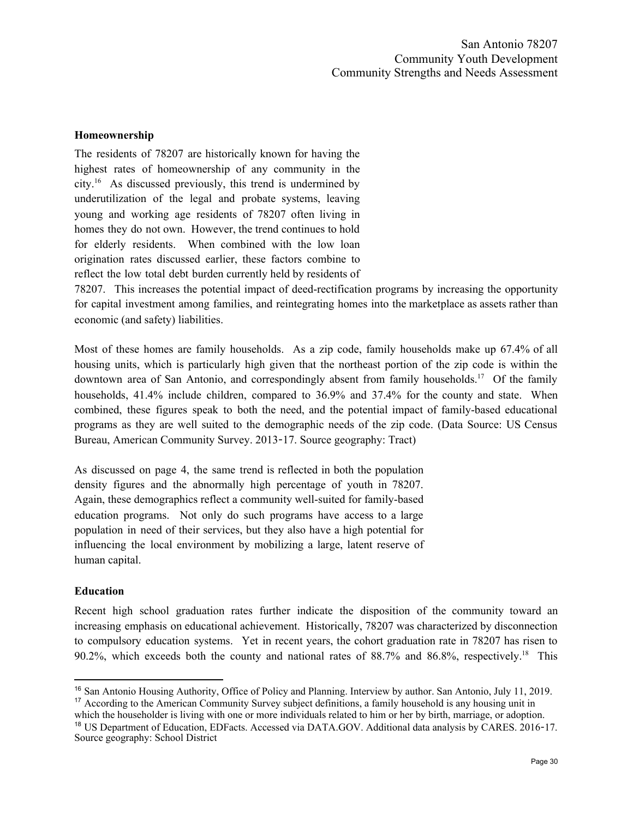#### <span id="page-30-0"></span>**Homeownership**

The residents of 78207 are historically known for having the highest rates of homeownership of any community in the city. <sup>16</sup> As discussed previously, this trend is undermined by underutilization of the legal and probate systems, leaving young and working age residents of 78207 often living in homes they do not own. However, the trend continues to hold for elderly residents. When combined with the low loan origination rates discussed earlier, these factors combine to reflect the low total debt burden currently held by residents of

78207. This increases the potential impact of deed-rectification programs by increasing the opportunity for capital investment among families, and reintegrating homes into the marketplace as assets rather than economic (and safety) liabilities.

Most of these homes are family households. As a zip code, family households make up 67.4% of all housing units, which is particularly high given that the northeast portion of the zip code is within the downtown area of San Antonio, and correspondingly absent from family households.<sup>17</sup> Of the family households, 41.4% include children, compared to 36.9% and 37.4% for the county and state. When combined, these figures speak to both the need, and the potential impact of family-based educational programs as they are well suited to the demographic needs of the zip code. (Data Source: US Census Bureau, American Community Survey. 2013-17. Source geography: Tract)

As discussed on page 4, the same trend is reflected in both the population density figures and the abnormally high percentage of youth in 78207. Again, these demographics reflect a community well-suited for family-based education programs. Not only do such programs have access to a large population in need of their services, but they also have a high potential for influencing the local environment by mobilizing a large, latent reserve of human capital.

#### <span id="page-30-1"></span>**Education**

Recent high school graduation rates further indicate the disposition of the community toward an increasing emphasis on educational achievement. Historically, 78207 was characterized by disconnection to compulsory education systems. Yet in recent years, the cohort graduation rate in 78207 has risen to 90.2%, which exceeds both the county and national rates of 88.7% and 86.8%, respectively.<sup>18</sup> This

<sup>16</sup> San Antonio Housing Authority, Office of Policy and Planning. Interview by author. San Antonio, July 11, 2019. <sup>17</sup> According to the American Community Survey subject definitions, a family household is any housing unit in

which the householder is living with one or more individuals related to him or her by birth, marriage, or adoption. <sup>18</sup> US Department of Education, EDFacts. Accessed via DATA.GOV. Additional data analysis by CARES. 2016-17. Source geography: School District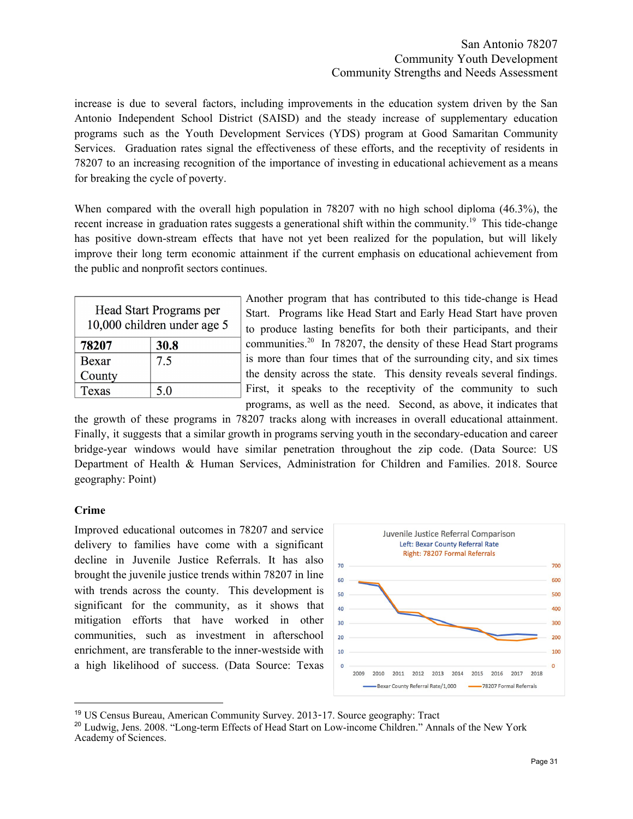## San Antonio 78207 Community Youth Development Community Strengths and Needs Assessment

increase is due to several factors, including improvements in the education system driven by the San Antonio Independent School District (SAISD) and the steady increase of supplementary education programs such as the Youth Development Services (YDS) program at Good Samaritan Community Services. Graduation rates signal the effectiveness of these efforts, and the receptivity of residents in 78207 to an increasing recognition of the importance of investing in educational achievement as a means for breaking the cycle of poverty.

When compared with the overall high population in 78207 with no high school diploma (46.3%), the recent increase in graduation rates suggests a generational shift within the community.<sup>19</sup> This tide-change has positive down-stream effects that have not yet been realized for the population, but will likely improve their long term economic attainment if the current emphasis on educational achievement from the public and nonprofit sectors continues.

| Head Start Programs per<br>10,000 children under age 5 |      |  |
|--------------------------------------------------------|------|--|
| 78207                                                  | 30.8 |  |
| Bexar                                                  | 7.5  |  |
| County                                                 |      |  |
| Texas                                                  | 5.0  |  |

Another program that has contributed to this tide-change is Head Start. Programs like Head Start and Early Head Start have proven to produce lasting benefits for both their participants, and their communities.<sup>20</sup> In 78207, the density of these Head Start programs is more than four times that of the surrounding city, and six times the density across the state. This density reveals several findings. First, it speaks to the receptivity of the community to such programs, as well as the need. Second, as above, it indicates that

the growth of these programs in 78207 tracks along with increases in overall educational attainment. Finally, it suggests that a similar growth in programs serving youth in the secondary-education and career bridge-year windows would have similar penetration throughout the zip code. (Data Source: US Department of Health & Human Services, Administration for Children and Families. 2018. Source geography: Point)

## <span id="page-31-0"></span>**Crime**

Improved educational outcomes in 78207 and service delivery to families have come with a significant decline in Juvenile Justice Referrals. It has also brought the juvenile justice trends within 78207 in line with trends across the county. This development is significant for the community, as it shows that mitigation efforts that have worked in other communities, such as investment in afterschool enrichment, are transferable to the inner-westside with a high likelihood of success. (Data Source: Texas



<sup>19</sup> US Census Bureau, American Community Survey. 2013-17. Source geography: Tract

<sup>20</sup> Ludwig, Jens. 2008. "Long-term Effects of Head Start on Low-income Children." Annals of the New York Academy of Sciences.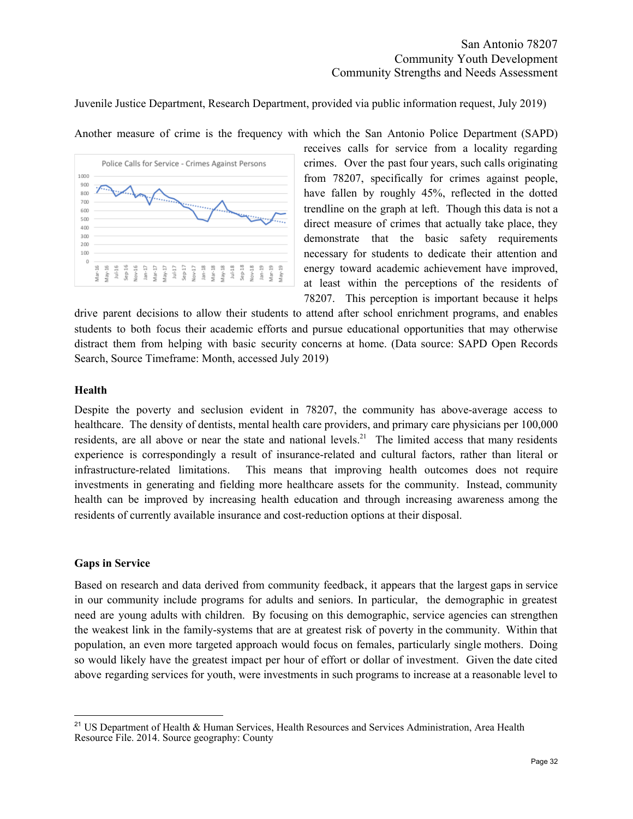Juvenile Justice Department, Research Department, provided via public information request, July 2019)

Another measure of crime is the frequency with which the San Antonio Police Department (SAPD)



receives calls for service from a locality regarding crimes. Over the past four years, such calls originating from 78207, specifically for crimes against people, have fallen by roughly 45%, reflected in the dotted trendline on the graph at left. Though this data is not a direct measure of crimes that actually take place, they demonstrate that the basic safety requirements necessary for students to dedicate their attention and energy toward academic achievement have improved, at least within the perceptions of the residents of 78207. This perception is important because it helps

drive parent decisions to allow their students to attend after school enrichment programs, and enables students to both focus their academic efforts and pursue educational opportunities that may otherwise distract them from helping with basic security concerns at home. (Data source: SAPD Open Records Search, Source Timeframe: Month, accessed July 2019)

#### <span id="page-32-0"></span>**Health**

Despite the poverty and seclusion evident in 78207, the community has above-average access to healthcare. The density of dentists, mental health care providers, and primary care physicians per 100,000 residents, are all above or near the state and national levels.<sup>21</sup> The limited access that many residents experience is correspondingly a result of insurance-related and cultural factors, rather than literal or infrastructure-related limitations. This means that improving health outcomes does not require investments in generating and fielding more healthcare assets for the community. Instead, community health can be improved by increasing health education and through increasing awareness among the residents of currently available insurance and cost-reduction options at their disposal.

#### <span id="page-32-1"></span>**Gaps in Service**

Based on research and data derived from community feedback, it appears that the largest gaps in service in our community include programs for adults and seniors. In particular, the demographic in greatest need are young adults with children. By focusing on this demographic, service agencies can strengthen the weakest link in the family-systems that are at greatest risk of poverty in the community. Within that population, an even more targeted approach would focus on females, particularly single mothers. Doing so would likely have the greatest impact per hour of effort or dollar of investment. Given the date cited above regarding services for youth, were investments in such programs to increase at a reasonable level to

<sup>&</sup>lt;sup>21</sup> US Department of Health & Human Services, Health Resources and Services Administration, Area Health Resource File. 2014. Source geography: County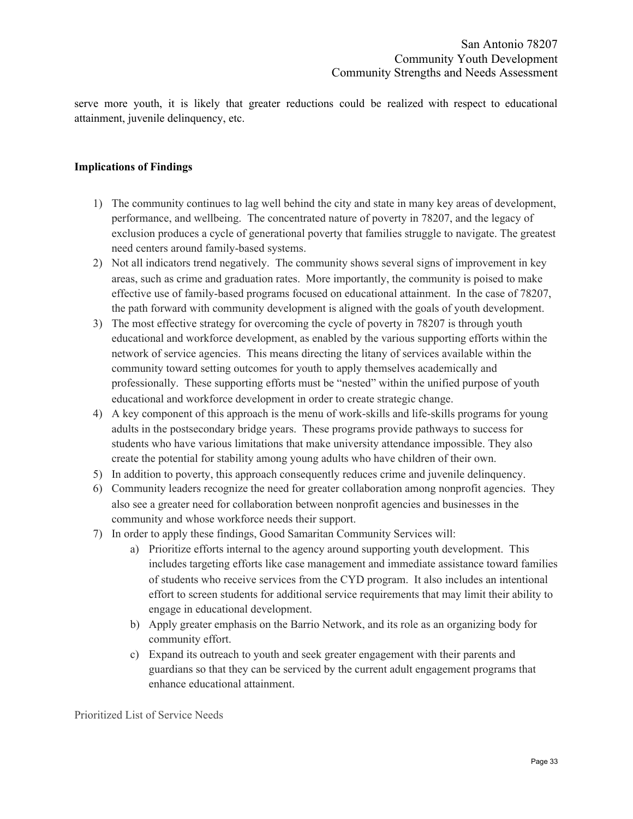serve more youth, it is likely that greater reductions could be realized with respect to educational attainment, juvenile delinquency, etc.

#### <span id="page-33-0"></span>**Implications of Findings**

- 1) The community continues to lag well behind the city and state in many key areas of development, performance, and wellbeing. The concentrated nature of poverty in 78207, and the legacy of exclusion produces a cycle of generational poverty that families struggle to navigate. The greatest need centers around family-based systems.
- 2) Not all indicators trend negatively. The community shows several signs of improvement in key areas, such as crime and graduation rates. More importantly, the community is poised to make effective use of family-based programs focused on educational attainment. In the case of 78207, the path forward with community development is aligned with the goals of youth development.
- 3) The most effective strategy for overcoming the cycle of poverty in 78207 is through youth educational and workforce development, as enabled by the various supporting efforts within the network of service agencies. This means directing the litany of services available within the community toward setting outcomes for youth to apply themselves academically and professionally. These supporting efforts must be "nested" within the unified purpose of youth educational and workforce development in order to create strategic change.
- 4) A key component of this approach is the menu of work-skills and life-skills programs for young adults in the postsecondary bridge years. These programs provide pathways to success for students who have various limitations that make university attendance impossible. They also create the potential for stability among young adults who have children of their own.
- 5) In addition to poverty, this approach consequently reduces crime and juvenile delinquency.
- 6) Community leaders recognize the need for greater collaboration among nonprofit agencies. They also see a greater need for collaboration between nonprofit agencies and businesses in the community and whose workforce needs their support.
- 7) In order to apply these findings, Good Samaritan Community Services will:
	- a) Prioritize efforts internal to the agency around supporting youth development. This includes targeting efforts like case management and immediate assistance toward families of students who receive services from the CYD program. It also includes an intentional effort to screen students for additional service requirements that may limit their ability to engage in educational development.
	- b) Apply greater emphasis on the Barrio Network, and its role as an organizing body for community effort.
	- c) Expand its outreach to youth and seek greater engagement with their parents and guardians so that they can be serviced by the current adult engagement programs that enhance educational attainment.

<span id="page-33-1"></span>Prioritized List of Service Needs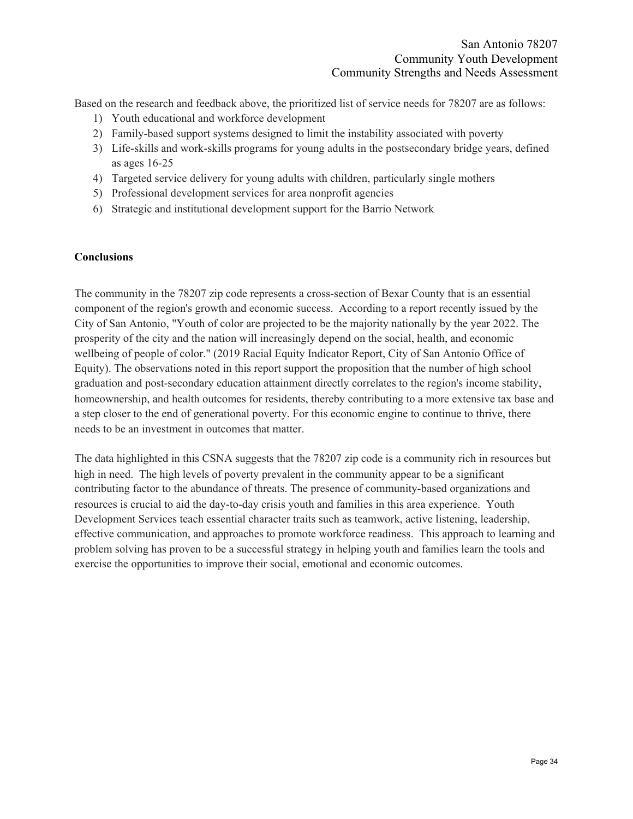Based on the research and feedback above, the prioritized list of service needs for 78207 are as follows:

- 1) Youth educational and workforce development
- 2) Family-based support systems designed to limit the instability associated with poverty
- 3) Life-skills and work-skills programs for young adults in the postsecondary bridge years, defined as ages 16-25
- 4) Targeted service delivery for young adults with children, particularly single mothers
- 5) Professional development services for area nonprofit agencies
- 6) Strategic and institutional development support for the Barrio Network

#### <span id="page-34-0"></span>**Conclusions**

The community in the 78207 zip code represents a cross-section of Bexar County that is an essential component of the region's growth and economic success. According to a report recently issued by the City of San Antonio, "Youth of color are projected to be the majority nationally by the year 2022. The prosperity of the city and the nation will increasingly depend on the social, health, and economic wellbeing of people of color." (2019 Racial Equity Indicator Report, City of San Antonio Office of Equity). The observations noted in this report support the proposition that the number of high school graduation and post-secondary education attainment directly correlates to the region's income stability, homeownership, and health outcomes for residents, thereby contributing to a more extensive tax base and a step closer to the end of generational poverty. For this economic engine to continue to thrive, there needs to be an investment in outcomes that matter.

The data highlighted in this CSNA suggests that the 78207 zip code is a community rich in resources but high in need. The high levels of poverty prevalent in the community appear to be a significant contributing factor to the abundance of threats. The presence of community-based organizations and resources is crucial to aid the day-to-day crisis youth and families in this area experience. Youth Development Services teach essential character traits such as teamwork, active listening, leadership, effective communication, and approaches to promote workforce readiness. This approach to learning and problem solving has proven to be a successful strategy in helping youth and families learn the tools and exercise the opportunities to improve their social, emotional and economic outcomes.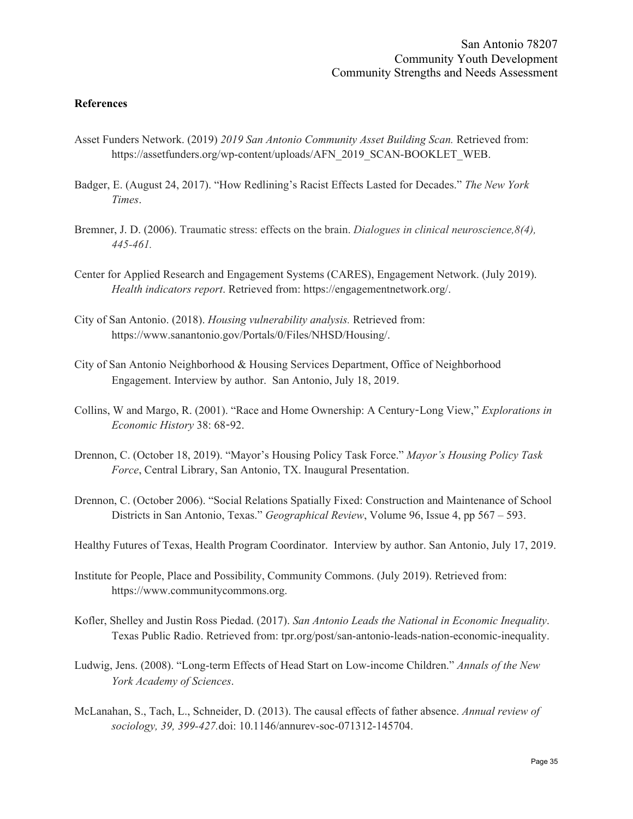#### <span id="page-35-0"></span>**References**

- Asset Funders Network. (2019) *2019 San Antonio Community Asset Building Scan.* Retrieved from: https://assetfunders.org/wp-content/uploads/AFN\_2019\_SCAN-BOOKLET\_WEB.
- Badger, E. (August 24, 2017). "How Redlining's Racist Effects Lasted for Decades." *The New York Times*.
- Bremner, J. D. (2006). Traumatic stress: effects on the brain. *Dialogues in clinical neuroscience,8(4), 445-461.*
- Center for Applied Research and Engagement Systems (CARES), Engagement Network. (July 2019). *Health indicators report*. Retrieved from: https://engagementnetwork.org/.
- City of San Antonio. (2018). *Housing vulnerability analysis.* Retrieved from: https://www.sanantonio.gov/Portals/0/Files/NHSD/Housing/.
- City of San Antonio Neighborhood & Housing Services Department, Office of Neighborhood Engagement. Interview by author. San Antonio, July 18, 2019.
- Collins, W and Margo, R. (2001). "Race and Home Ownership: A Century-Long View," *Explorations in Economic History* 38: 68-92.
- Drennon, C. (October 18, 2019). "Mayor's Housing Policy Task Force." *Mayor's Housing Policy Task Force*, Central Library, San Antonio, TX. Inaugural Presentation.
- Drennon, C. (October 2006). "Social Relations Spatially Fixed: Construction and Maintenance of School Districts in San Antonio, Texas." *Geographical Review*, Volume 96, Issue 4, pp 567 – 593.
- Healthy Futures of Texas, Health Program Coordinator. Interview by author. San Antonio, July 17, 2019.
- Institute for People, Place and Possibility, Community Commons. (July 2019). Retrieved from: https://www.communitycommons.org.
- Kofler, Shelley and Justin Ross Piedad. (2017). *San Antonio Leads the National in Economic Inequality*. Texas Public Radio. Retrieved from: tpr.org/post/san-antonio-leads-nation-economic-inequality.
- Ludwig, Jens. (2008). "Long-term Effects of Head Start on Low-income Children." *Annals of the New York Academy of Sciences*.
- McLanahan, S., Tach, L., Schneider, D. (2013). The causal effects of father absence. *Annual review of sociology, 39, 399-427.*doi: 10.1146/annurev-soc-071312-145704.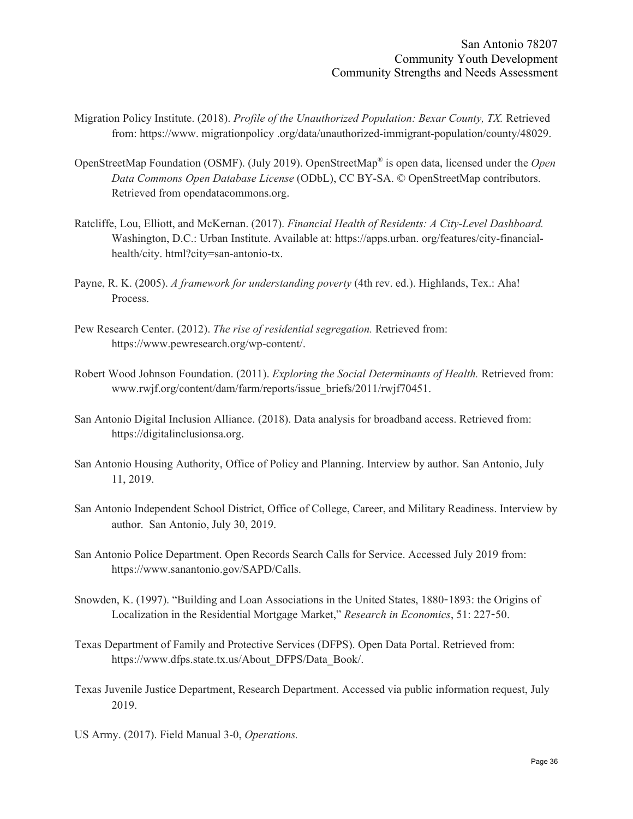- Migration Policy Institute. (2018). *Profile of the Unauthorized Population: Bexar County, TX.* Retrieved from: https://www. migrationpolicy .org/data/unauthorized-immigrant-population/county/48029.
- OpenStreetMap Foundation (OSMF). (July 2019). OpenStreetMap ® is open data, licensed under the *Open Data Commons Open Database License* (ODbL), CC BY-SA. © OpenStreetMap contributors. Retrieved from opendatacommons.org.
- Ratcliffe, Lou, Elliott, and McKernan. (2017). *Financial Health of Residents: A City-Level Dashboard.* Washington, D.C.: Urban Institute. Available at: https://apps.urban. org/features/city-financialhealth/city. html?city=san-antonio-tx.
- Payne, R. K. (2005). *A framework for understanding poverty* (4th rev. ed.). Highlands, Tex.: Aha! Process.
- Pew Research Center. (2012). *The rise of residential segregation.* Retrieved from: https://www.pewresearch.org/wp-content/.
- Robert Wood Johnson Foundation. (2011). *Exploring the Social Determinants of Health.* Retrieved from: www.rwjf.org/content/dam/farm/reports/issue\_briefs/2011/rwjf70451.
- San Antonio Digital Inclusion Alliance. (2018). Data analysis for broadband access. Retrieved from: https://digitalinclusionsa.org.
- San Antonio Housing Authority, Office of Policy and Planning. Interview by author. San Antonio, July 11, 2019.
- San Antonio Independent School District, Office of College, Career, and Military Readiness. Interview by author. San Antonio, July 30, 2019.
- San Antonio Police Department. Open Records Search Calls for Service. Accessed July 2019 from: https://www.sanantonio.gov/SAPD/Calls.
- Snowden, K. (1997). "Building and Loan Associations in the United States, 1880-1893: the Origins of Localization in the Residential Mortgage Market," *Research in Economics*, 51: 227-50.
- Texas Department of Family and Protective Services (DFPS). Open Data Portal. Retrieved from: https://www.dfps.state.tx.us/About\_DFPS/Data\_Book/.
- Texas Juvenile Justice Department, Research Department. Accessed via public information request, July 2019.
- US Army. (2017). Field Manual 3-0, *Operations.*